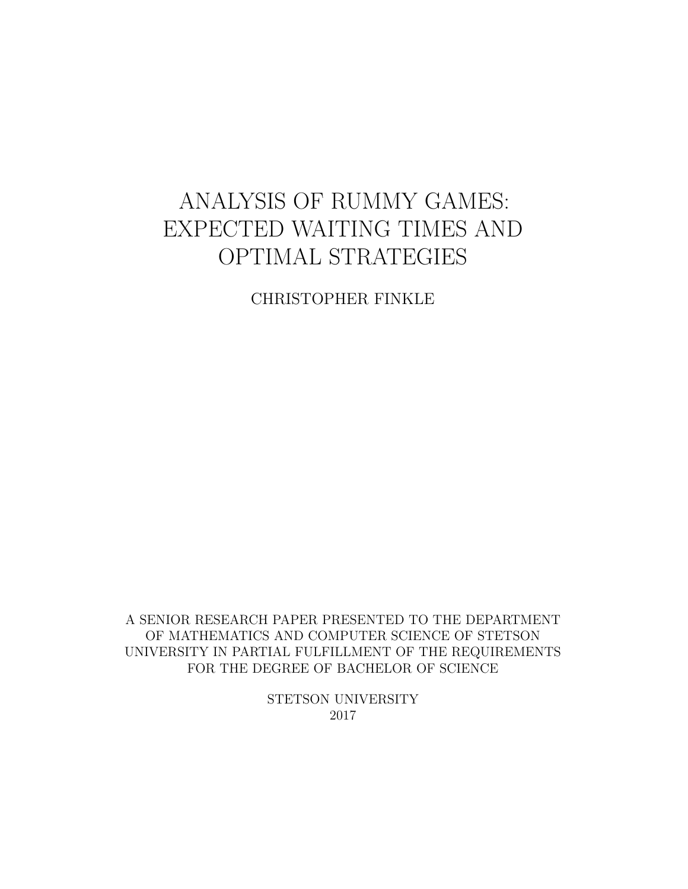# ANALYSIS OF RUMMY GAMES: EXPECTED WAITING TIMES AND OPTIMAL STRATEGIES

CHRISTOPHER FINKLE

A SENIOR RESEARCH PAPER PRESENTED TO THE DEPARTMENT OF MATHEMATICS AND COMPUTER SCIENCE OF STETSON UNIVERSITY IN PARTIAL FULFILLMENT OF THE REQUIREMENTS FOR THE DEGREE OF BACHELOR OF SCIENCE

> STETSON UNIVERSITY 2017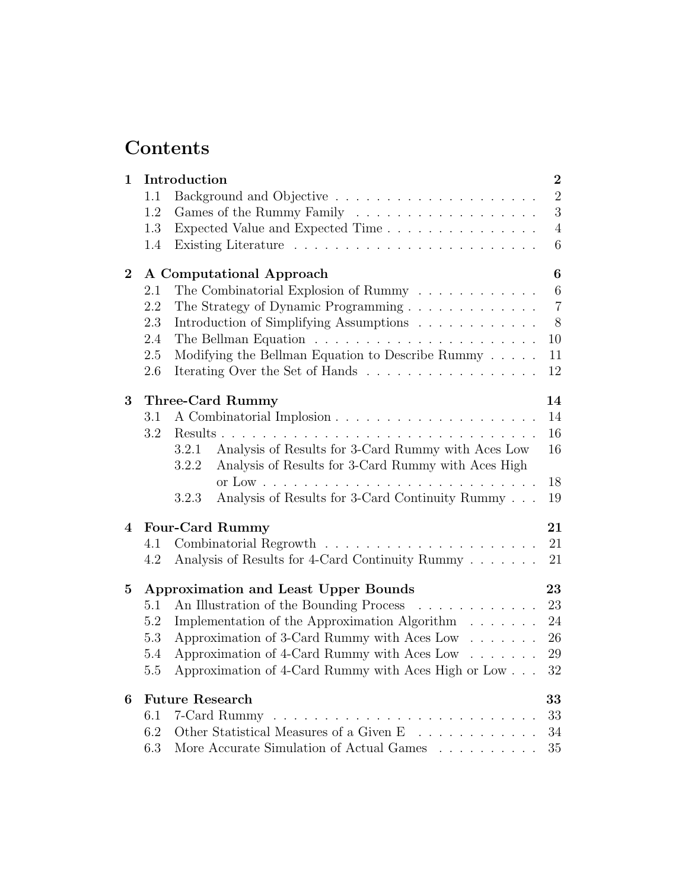# Contents

| $\mathbf{1}$   |         | Introduction                                                                                                                | $\boldsymbol{2}$ |
|----------------|---------|-----------------------------------------------------------------------------------------------------------------------------|------------------|
|                | 1.1     |                                                                                                                             | $\overline{2}$   |
|                | 1.2     |                                                                                                                             | 3                |
|                | 1.3     | Expected Value and Expected Time                                                                                            | $\sqrt{4}$       |
|                | 1.4     |                                                                                                                             | $6\phantom{.}6$  |
| $\overline{2}$ |         | A Computational Approach                                                                                                    | $\boldsymbol{6}$ |
|                | 2.1     | The Combinatorial Explosion of Rummy $\ldots \ldots \ldots \ldots$                                                          | $\,6\,$          |
|                | 2.2     | The Strategy of Dynamic Programming                                                                                         | $\overline{7}$   |
|                | 2.3     | Introduction of Simplifying Assumptions                                                                                     | $8\,$            |
|                | $2.4\,$ |                                                                                                                             | 10               |
|                | 2.5     | Modifying the Bellman Equation to Describe Rummy                                                                            | 11               |
|                | 2.6     | Iterating Over the Set of Hands                                                                                             | 12               |
| 3              |         | Three-Card Rummy                                                                                                            | 14               |
|                | 3.1     |                                                                                                                             | 14               |
|                | 3.2     | Results.                                                                                                                    | 16               |
|                |         | Analysis of Results for 3-Card Rummy with Aces Low<br>3.2.1<br>Analysis of Results for 3-Card Rummy with Aces High<br>3.2.2 | 16               |
|                |         |                                                                                                                             | 18               |
|                |         | Analysis of Results for 3-Card Continuity Rummy<br>3.2.3                                                                    | 19               |
| 4              |         | <b>Four-Card Rummy</b>                                                                                                      | 21               |
|                | 4.1     |                                                                                                                             | 21               |
|                | 4.2     | Analysis of Results for 4-Card Continuity Rummy                                                                             | 21               |
| $\mathbf{5}$   |         | <b>Approximation and Least Upper Bounds</b>                                                                                 | 23               |
|                | 5.1     | An Illustration of the Bounding Process                                                                                     | 23               |
|                | 5.2     | Implementation of the Approximation Algorithm                                                                               | 24               |
|                | 5.3     | Approximation of 3-Card Rummy with Aces Low                                                                                 | 26               |
|                | 5.4     | Approximation of 4-Card Rummy with Aces Low                                                                                 | 29               |
|                | 5.5     | Approximation of 4-Card Rummy with Aces High or Low                                                                         | 32               |
| 6              |         | <b>Future Research</b>                                                                                                      | 33               |
|                | 6.1     | 7-Card Rummy                                                                                                                | 33               |
|                | 6.2     | Other Statistical Measures of a Given E                                                                                     | 34               |
|                | 6.3     | More Accurate Simulation of Actual Games $\ldots \ldots \ldots$                                                             | 35               |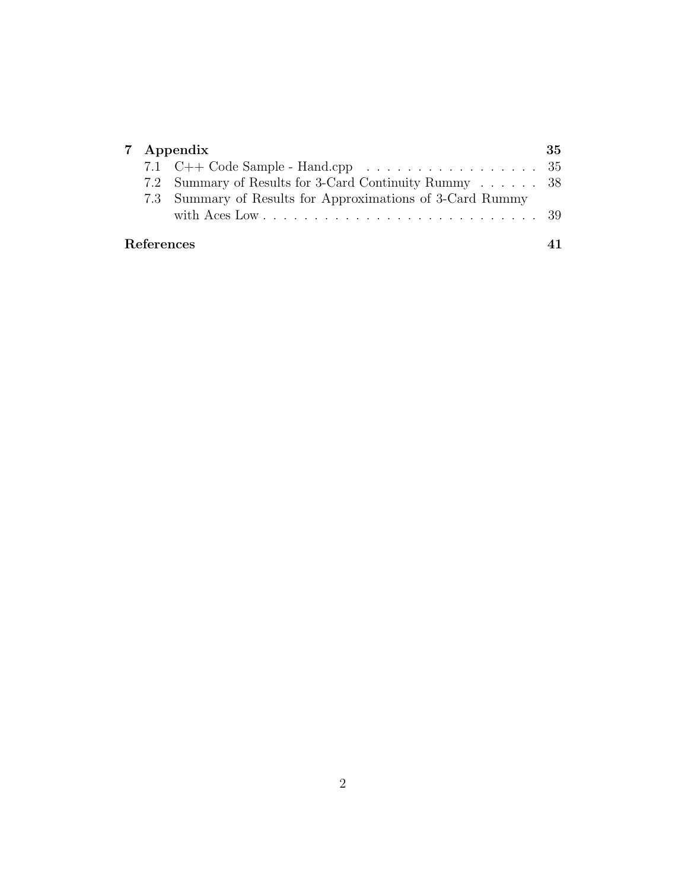| 7 Appendix        |                                                                                      | 35 |
|-------------------|--------------------------------------------------------------------------------------|----|
|                   | 7.1 C++ Code Sample - Hand.cpp $\ldots \ldots \ldots \ldots \ldots \ldots \ldots 35$ |    |
|                   | 7.2 Summary of Results for 3-Card Continuity Rummy 38                                |    |
|                   | 7.3 Summary of Results for Approximations of 3-Card Rummy                            |    |
|                   |                                                                                      |    |
| <b>References</b> |                                                                                      |    |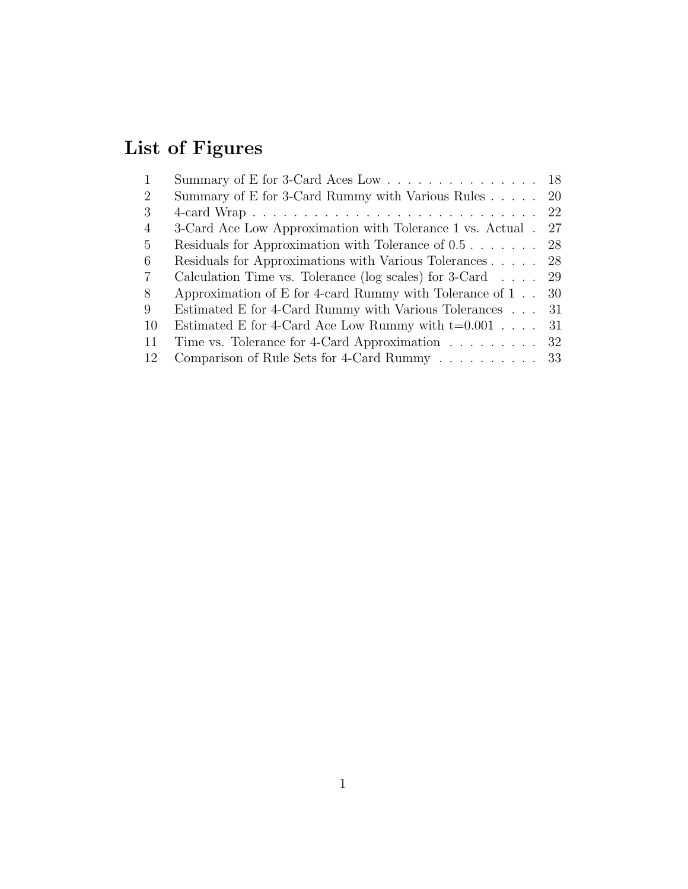# List of Figures

| $\mathbf{1}$   | Summary of E for 3-Card Aces Low 18                                   |     |
|----------------|-----------------------------------------------------------------------|-----|
| $\overline{2}$ | Summary of E for 3-Card Rummy with Various Rules 20                   |     |
| 3              |                                                                       |     |
| $\overline{4}$ | 3-Card Ace Low Approximation with Tolerance 1 vs. Actual.             | 27  |
| 5              | Residuals for Approximation with Tolerance of $0.5 \ldots \ldots$     | -28 |
| 6              | Residuals for Approximations with Various Tolerances                  | 28  |
| $\overline{7}$ | Calculation Time vs. Tolerance (log scales) for $3$ -Card $\ldots$ 29 |     |
| 8              | Approximation of E for 4-card Rummy with Tolerance of $1 \ldots 30$   |     |
| 9              | Estimated E for 4-Card Rummy with Various Tolerances 31               |     |
| 10             | Estimated E for 4-Card Ace Low Rummy with $t=0.001$                   | 31  |
| 11             | Time vs. Tolerance for 4-Card Approximation $\ldots \ldots \ldots$ 32 |     |
| 12             | Comparison of Rule Sets for 4-Card Rummy 33                           |     |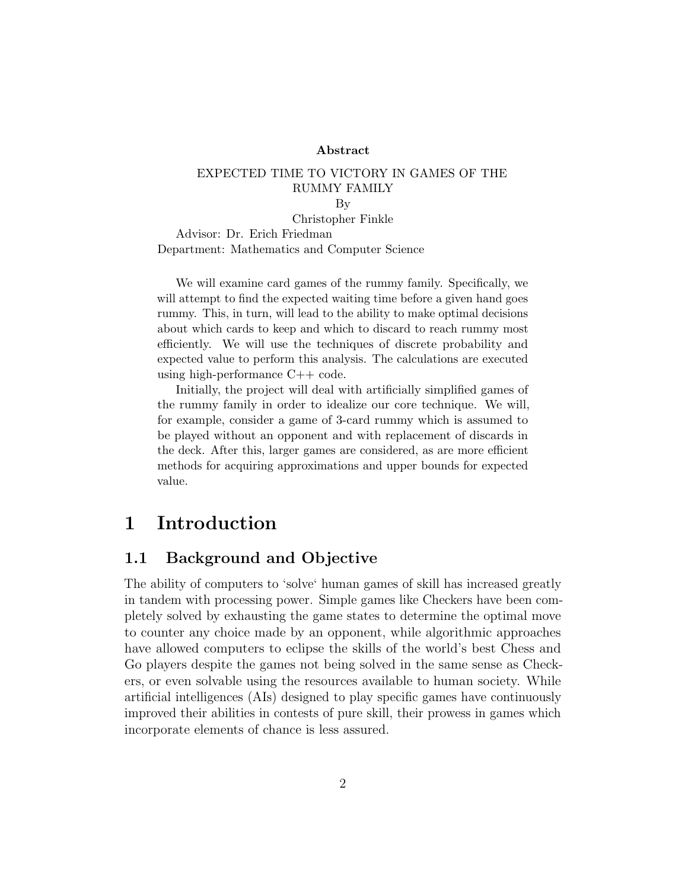#### ${\rm Abstract}$

#### EXPECTED TIME TO VICTORY IN GAMES OF THE RUMMY FAMILY

By

Christopher Finkle Advisor: Dr. Erich Friedman Department: Mathematics and Computer Science

We will examine card games of the rummy family. Specifically, we will attempt to find the expected waiting time before a given hand goes rummy. This, in turn, will lead to the ability to make optimal decisions about which cards to keep and which to discard to reach rummy most efficiently. We will use the techniques of discrete probability and expected value to perform this analysis. The calculations are executed using high-performance C++ code.

Initially, the project will deal with artificially simplified games of the rummy family in order to idealize our core technique. We will, for example, consider a game of 3-card rummy which is assumed to be played without an opponent and with replacement of discards in the deck. After this, larger games are considered, as are more efficient methods for acquiring approximations and upper bounds for expected value.

# 1 Introduction

### 1.1 Background and Objective

The ability of computers to 'solve' human games of skill has increased greatly in tandem with processing power. Simple games like Checkers have been completely solved by exhausting the game states to determine the optimal move to counter any choice made by an opponent, while algorithmic approaches have allowed computers to eclipse the skills of the world's best Chess and Go players despite the games not being solved in the same sense as Checkers, or even solvable using the resources available to human society. While artificial intelligences (AIs) designed to play specific games have continuously improved their abilities in contests of pure skill, their prowess in games which incorporate elements of chance is less assured.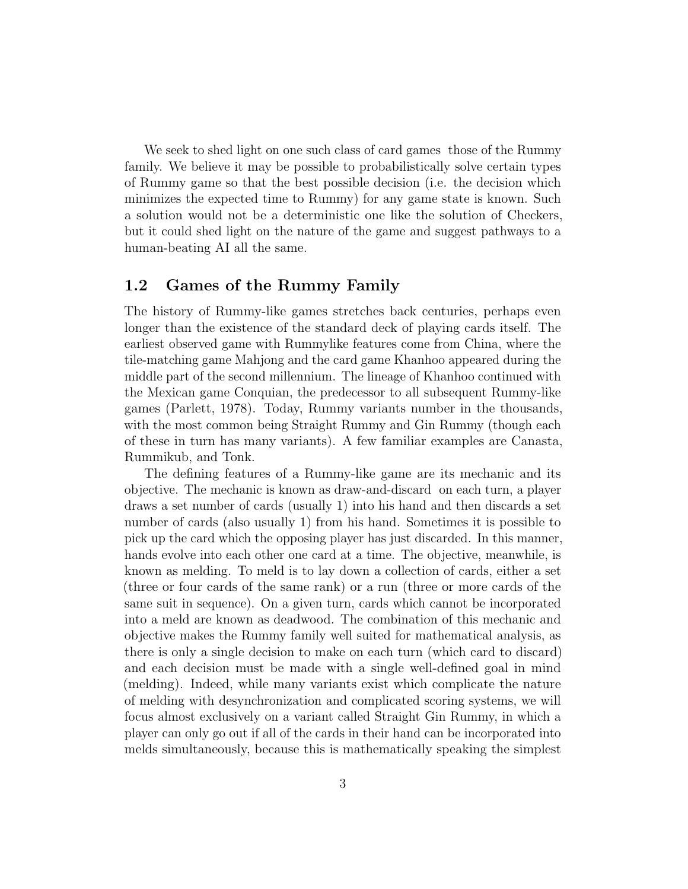We seek to shed light on one such class of card games those of the Rummy family. We believe it may be possible to probabilistically solve certain types of Rummy game so that the best possible decision (i.e. the decision which minimizes the expected time to Rummy) for any game state is known. Such a solution would not be a deterministic one like the solution of Checkers, but it could shed light on the nature of the game and suggest pathways to a human-beating AI all the same.

#### 1.2 Games of the Rummy Family

The history of Rummy-like games stretches back centuries, perhaps even longer than the existence of the standard deck of playing cards itself. The earliest observed game with Rummylike features come from China, where the tile-matching game Mahjong and the card game Khanhoo appeared during the middle part of the second millennium. The lineage of Khanhoo continued with the Mexican game Conquian, the predecessor to all subsequent Rummy-like games (Parlett, 1978). Today, Rummy variants number in the thousands, with the most common being Straight Rummy and Gin Rummy (though each of these in turn has many variants). A few familiar examples are Canasta, Rummikub, and Tonk.

The defining features of a Rummy-like game are its mechanic and its objective. The mechanic is known as draw-and-discard on each turn, a player draws a set number of cards (usually 1) into his hand and then discards a set number of cards (also usually 1) from his hand. Sometimes it is possible to pick up the card which the opposing player has just discarded. In this manner, hands evolve into each other one card at a time. The objective, meanwhile, is known as melding. To meld is to lay down a collection of cards, either a set (three or four cards of the same rank) or a run (three or more cards of the same suit in sequence). On a given turn, cards which cannot be incorporated into a meld are known as deadwood. The combination of this mechanic and objective makes the Rummy family well suited for mathematical analysis, as there is only a single decision to make on each turn (which card to discard) and each decision must be made with a single well-defined goal in mind (melding). Indeed, while many variants exist which complicate the nature of melding with desynchronization and complicated scoring systems, we will focus almost exclusively on a variant called Straight Gin Rummy, in which a player can only go out if all of the cards in their hand can be incorporated into melds simultaneously, because this is mathematically speaking the simplest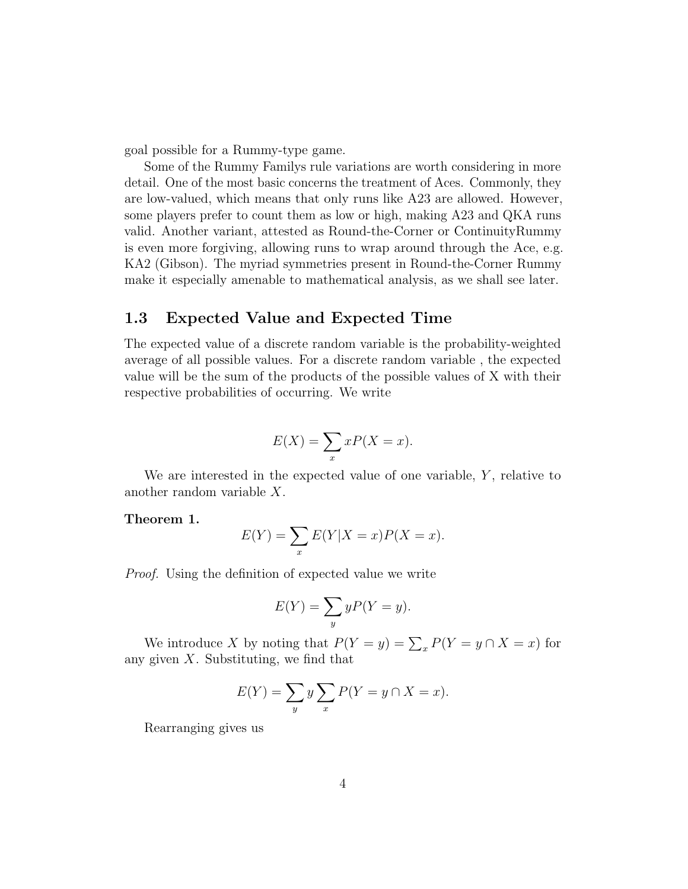goal possible for a Rummy-type game.

Some of the Rummy Familys rule variations are worth considering in more detail. One of the most basic concerns the treatment of Aces. Commonly, they are low-valued, which means that only runs like A23 are allowed. However, some players prefer to count them as low or high, making A23 and QKA runs valid. Another variant, attested as Round-the-Corner or ContinuityRummy is even more forgiving, allowing runs to wrap around through the Ace, e.g. KA2 (Gibson). The myriad symmetries present in Round-the-Corner Rummy make it especially amenable to mathematical analysis, as we shall see later.

#### 1.3 Expected Value and Expected Time

The expected value of a discrete random variable is the probability-weighted average of all possible values. For a discrete random variable , the expected value will be the sum of the products of the possible values of X with their respective probabilities of occurring. We write

$$
E(X) = \sum_{x} xP(X = x).
$$

We are interested in the expected value of one variable,  $Y$ , relative to another random variable X.

#### Theorem 1.

$$
E(Y) = \sum_{x} E(Y|X=x)P(X=x).
$$

Proof. Using the definition of expected value we write

$$
E(Y) = \sum_{y} yP(Y = y).
$$

We introduce X by noting that  $P(Y = y) = \sum_{x} P(Y = y \cap X = x)$  for any given  $X$ . Substituting, we find that

$$
E(Y) = \sum_{y} y \sum_{x} P(Y = y \cap X = x).
$$

Rearranging gives us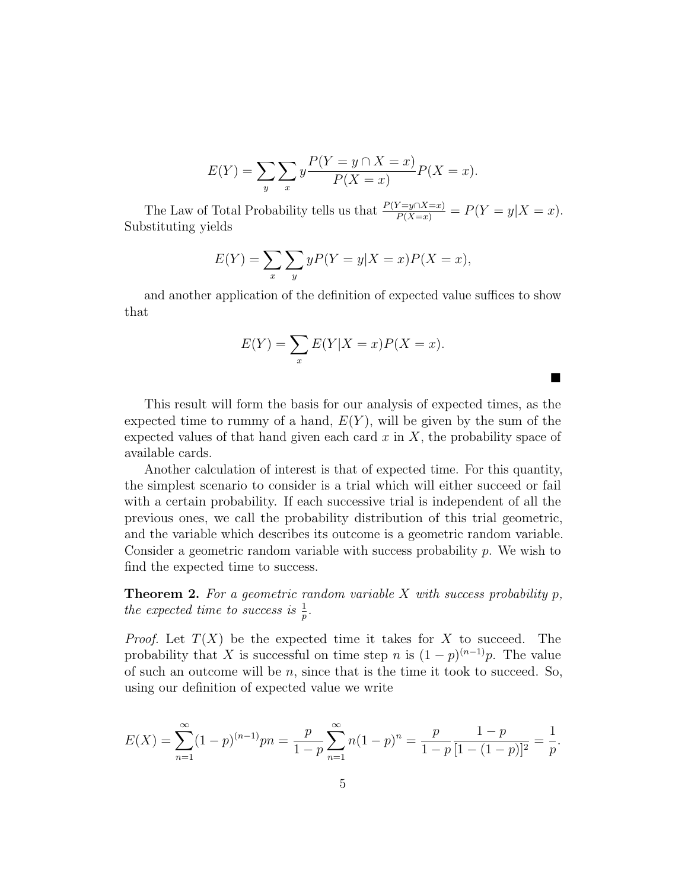$$
E(Y) = \sum_{y} \sum_{x} y \frac{P(Y = y \cap X = x)}{P(X = x)} P(X = x).
$$

The Law of Total Probability tells us that  $\frac{P(Y=y \cap X=x)}{P(X=x)} = P(Y=y|X=x)$ . Substituting yields

$$
E(Y) = \sum_{x} \sum_{y} yP(Y = y|X = x)P(X = x),
$$

and another application of the definition of expected value suffices to show that

$$
E(Y) = \sum_{x} E(Y|X=x)P(X=x).
$$

 $\blacksquare$ 

This result will form the basis for our analysis of expected times, as the expected time to rummy of a hand,  $E(Y)$ , will be given by the sum of the expected values of that hand given each card  $x$  in  $X$ , the probability space of available cards.

Another calculation of interest is that of expected time. For this quantity, the simplest scenario to consider is a trial which will either succeed or fail with a certain probability. If each successive trial is independent of all the previous ones, we call the probability distribution of this trial geometric, and the variable which describes its outcome is a geometric random variable. Consider a geometric random variable with success probability  $p$ . We wish to find the expected time to success.

**Theorem 2.** For a geometric random variable X with success probability  $p$ , the expected time to success is  $\frac{1}{p}$ .

*Proof.* Let  $T(X)$  be the expected time it takes for X to succeed. The probability that X is successful on time step n is  $(1-p)^{(n-1)}p$ . The value of such an outcome will be  $n$ , since that is the time it took to succeed. So, using our definition of expected value we write

$$
E(X) = \sum_{n=1}^{\infty} (1-p)^{(n-1)} p n = \frac{p}{1-p} \sum_{n=1}^{\infty} n (1-p)^n = \frac{p}{1-p} \frac{1-p}{[1-(1-p)]^2} = \frac{1}{p}.
$$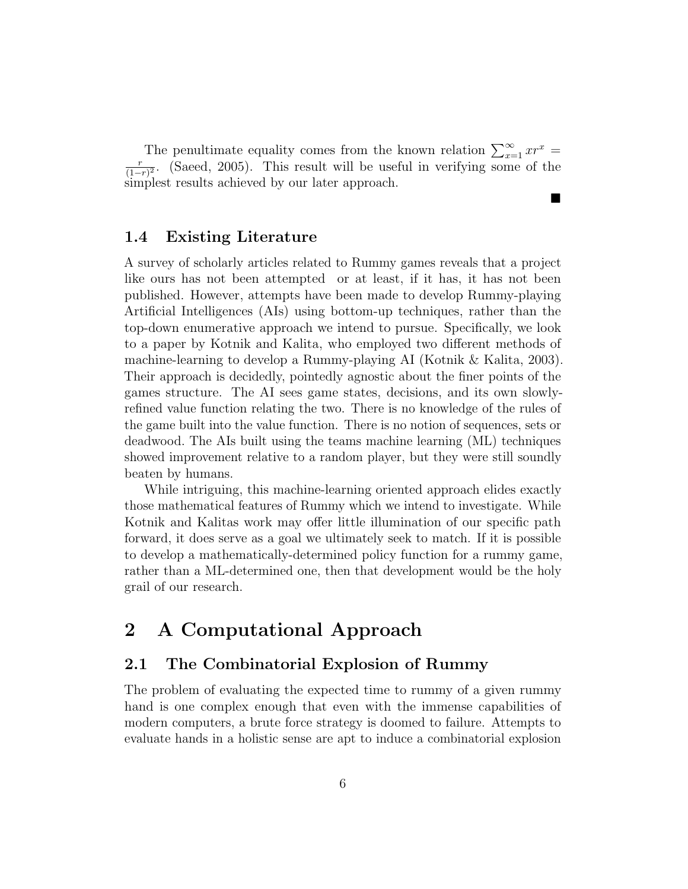The penultimate equality comes from the known relation  $\sum_{x=1}^{\infty} x r^x$ r  $\frac{r}{(1-r)^2}$ . (Saeed, 2005). This result will be useful in verifying some of the simplest results achieved by our later approach.

 $\blacksquare$ 

#### 1.4 Existing Literature

A survey of scholarly articles related to Rummy games reveals that a project like ours has not been attempted or at least, if it has, it has not been published. However, attempts have been made to develop Rummy-playing Artificial Intelligences (AIs) using bottom-up techniques, rather than the top-down enumerative approach we intend to pursue. Specifically, we look to a paper by Kotnik and Kalita, who employed two different methods of machine-learning to develop a Rummy-playing AI (Kotnik & Kalita, 2003). Their approach is decidedly, pointedly agnostic about the finer points of the games structure. The AI sees game states, decisions, and its own slowlyrefined value function relating the two. There is no knowledge of the rules of the game built into the value function. There is no notion of sequences, sets or deadwood. The AIs built using the teams machine learning (ML) techniques showed improvement relative to a random player, but they were still soundly beaten by humans.

While intriguing, this machine-learning oriented approach elides exactly those mathematical features of Rummy which we intend to investigate. While Kotnik and Kalitas work may offer little illumination of our specific path forward, it does serve as a goal we ultimately seek to match. If it is possible to develop a mathematically-determined policy function for a rummy game, rather than a ML-determined one, then that development would be the holy grail of our research.

# 2 A Computational Approach

#### 2.1 The Combinatorial Explosion of Rummy

The problem of evaluating the expected time to rummy of a given rummy hand is one complex enough that even with the immense capabilities of modern computers, a brute force strategy is doomed to failure. Attempts to evaluate hands in a holistic sense are apt to induce a combinatorial explosion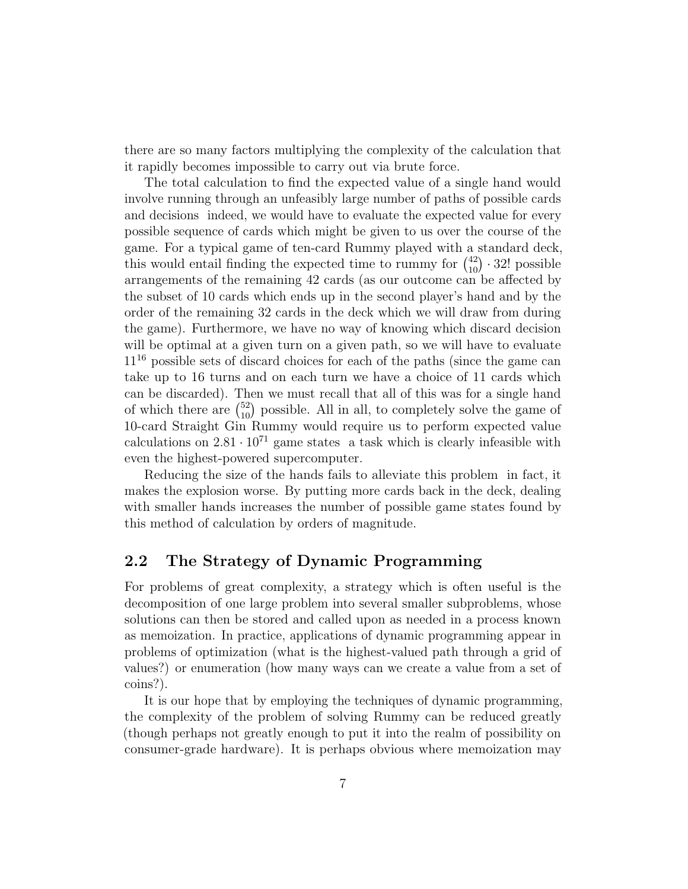there are so many factors multiplying the complexity of the calculation that it rapidly becomes impossible to carry out via brute force.

The total calculation to find the expected value of a single hand would involve running through an unfeasibly large number of paths of possible cards and decisions indeed, we would have to evaluate the expected value for every possible sequence of cards which might be given to us over the course of the game. For a typical game of ten-card Rummy played with a standard deck, this would entail finding the expected time to rummy for  $\binom{42}{10} \cdot 32!$  possible arrangements of the remaining 42 cards (as our outcome can be affected by the subset of 10 cards which ends up in the second player's hand and by the order of the remaining 32 cards in the deck which we will draw from during the game). Furthermore, we have no way of knowing which discard decision will be optimal at a given turn on a given path, so we will have to evaluate 11<sup>16</sup> possible sets of discard choices for each of the paths (since the game can take up to 16 turns and on each turn we have a choice of 11 cards which can be discarded). Then we must recall that all of this was for a single hand of which there are  $\binom{52}{10}$  possible. All in all, to completely solve the game of 10-card Straight Gin Rummy would require us to perform expected value calculations on  $2.81 \cdot 10^{71}$  game states a task which is clearly infeasible with even the highest-powered supercomputer.

Reducing the size of the hands fails to alleviate this problem in fact, it makes the explosion worse. By putting more cards back in the deck, dealing with smaller hands increases the number of possible game states found by this method of calculation by orders of magnitude.

#### 2.2 The Strategy of Dynamic Programming

For problems of great complexity, a strategy which is often useful is the decomposition of one large problem into several smaller subproblems, whose solutions can then be stored and called upon as needed in a process known as memoization. In practice, applications of dynamic programming appear in problems of optimization (what is the highest-valued path through a grid of values?) or enumeration (how many ways can we create a value from a set of coins?).

It is our hope that by employing the techniques of dynamic programming, the complexity of the problem of solving Rummy can be reduced greatly (though perhaps not greatly enough to put it into the realm of possibility on consumer-grade hardware). It is perhaps obvious where memoization may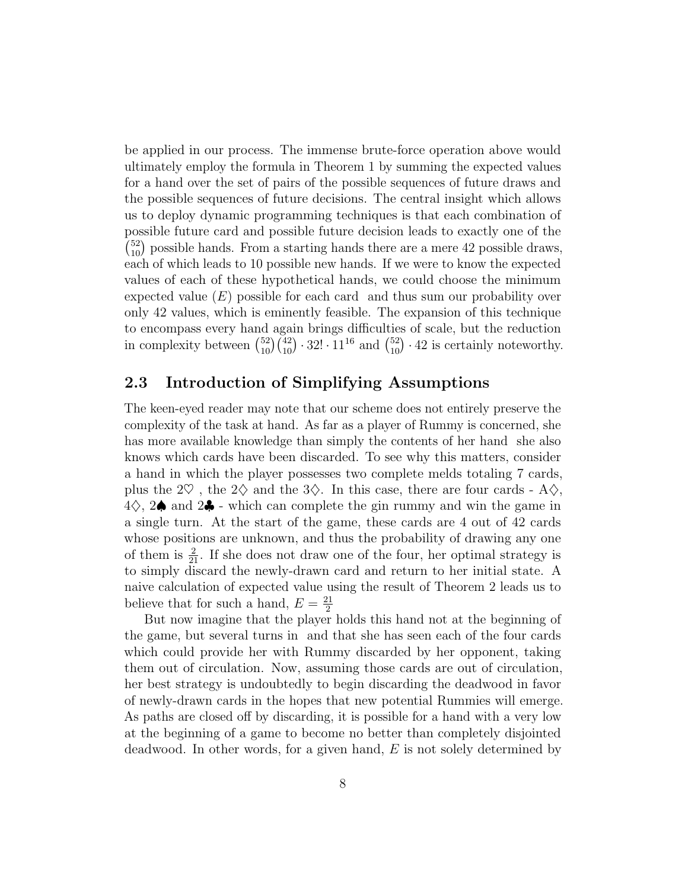be applied in our process. The immense brute-force operation above would ultimately employ the formula in Theorem 1 by summing the expected values for a hand over the set of pairs of the possible sequences of future draws and the possible sequences of future decisions. The central insight which allows us to deploy dynamic programming techniques is that each combination of possible future card and possible future decision leads to exactly one of the  $\binom{52}{10}$  possible hands. From a starting hands there are a mere 42 possible draws, each of which leads to 10 possible new hands. If we were to know the expected values of each of these hypothetical hands, we could choose the minimum expected value  $(E)$  possible for each card and thus sum our probability over only 42 values, which is eminently feasible. The expansion of this technique to encompass every hand again brings difficulties of scale, but the reduction in complexity between  $\binom{52}{10}\binom{42}{10} \cdot 32! \cdot 11^{16}$  and  $\binom{52}{10} \cdot 42$  is certainly noteworthy.

#### 2.3 Introduction of Simplifying Assumptions

The keen-eyed reader may note that our scheme does not entirely preserve the complexity of the task at hand. As far as a player of Rummy is concerned, she has more available knowledge than simply the contents of her hand she also knows which cards have been discarded. To see why this matters, consider a hand in which the player possesses two complete melds totaling 7 cards, plus the  $2\heartsuit$ , the  $2\diamondsuit$  and the  $3\diamondsuit$ . In this case, there are four cards - A $\diamondsuit$ ,  $4\diamondsuit$ , 2 $\spadesuit$  and 2 $\clubsuit$  - which can complete the gin rummy and win the game in a single turn. At the start of the game, these cards are 4 out of 42 cards whose positions are unknown, and thus the probability of drawing any one of them is  $\frac{2}{21}$ . If she does not draw one of the four, her optimal strategy is to simply discard the newly-drawn card and return to her initial state. A naive calculation of expected value using the result of Theorem 2 leads us to believe that for such a hand,  $E = \frac{21}{2}$ 2

But now imagine that the player holds this hand not at the beginning of the game, but several turns in and that she has seen each of the four cards which could provide her with Rummy discarded by her opponent, taking them out of circulation. Now, assuming those cards are out of circulation, her best strategy is undoubtedly to begin discarding the deadwood in favor of newly-drawn cards in the hopes that new potential Rummies will emerge. As paths are closed off by discarding, it is possible for a hand with a very low at the beginning of a game to become no better than completely disjointed deadwood. In other words, for a given hand,  $E$  is not solely determined by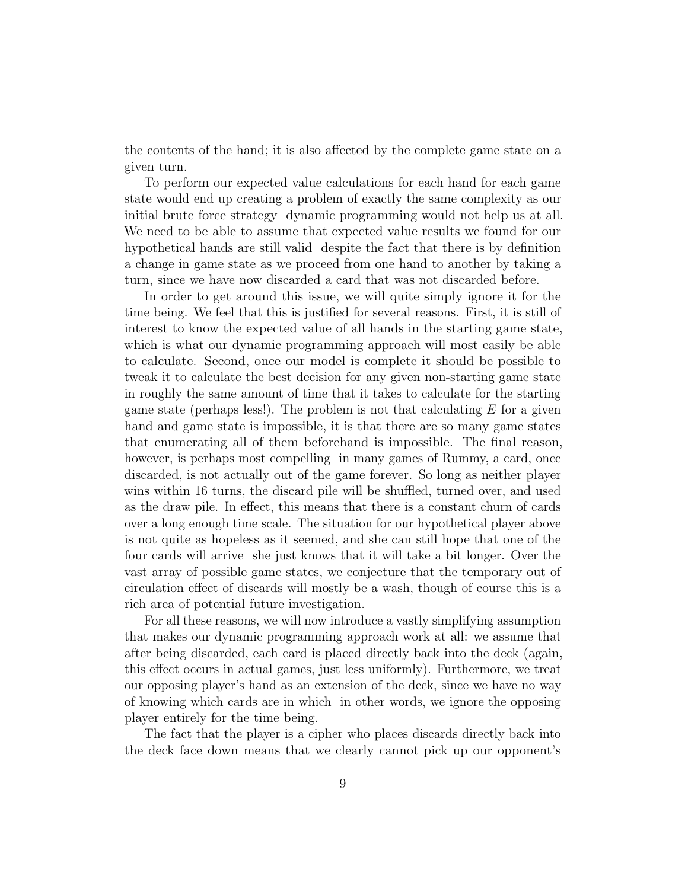the contents of the hand; it is also affected by the complete game state on a given turn.

To perform our expected value calculations for each hand for each game state would end up creating a problem of exactly the same complexity as our initial brute force strategy dynamic programming would not help us at all. We need to be able to assume that expected value results we found for our hypothetical hands are still valid despite the fact that there is by definition a change in game state as we proceed from one hand to another by taking a turn, since we have now discarded a card that was not discarded before.

In order to get around this issue, we will quite simply ignore it for the time being. We feel that this is justified for several reasons. First, it is still of interest to know the expected value of all hands in the starting game state, which is what our dynamic programming approach will most easily be able to calculate. Second, once our model is complete it should be possible to tweak it to calculate the best decision for any given non-starting game state in roughly the same amount of time that it takes to calculate for the starting game state (perhaps less!). The problem is not that calculating  $E$  for a given hand and game state is impossible, it is that there are so many game states that enumerating all of them beforehand is impossible. The final reason, however, is perhaps most compelling in many games of Rummy, a card, once discarded, is not actually out of the game forever. So long as neither player wins within 16 turns, the discard pile will be shuffled, turned over, and used as the draw pile. In effect, this means that there is a constant churn of cards over a long enough time scale. The situation for our hypothetical player above is not quite as hopeless as it seemed, and she can still hope that one of the four cards will arrive she just knows that it will take a bit longer. Over the vast array of possible game states, we conjecture that the temporary out of circulation effect of discards will mostly be a wash, though of course this is a rich area of potential future investigation.

For all these reasons, we will now introduce a vastly simplifying assumption that makes our dynamic programming approach work at all: we assume that after being discarded, each card is placed directly back into the deck (again, this effect occurs in actual games, just less uniformly). Furthermore, we treat our opposing player's hand as an extension of the deck, since we have no way of knowing which cards are in which in other words, we ignore the opposing player entirely for the time being.

The fact that the player is a cipher who places discards directly back into the deck face down means that we clearly cannot pick up our opponent's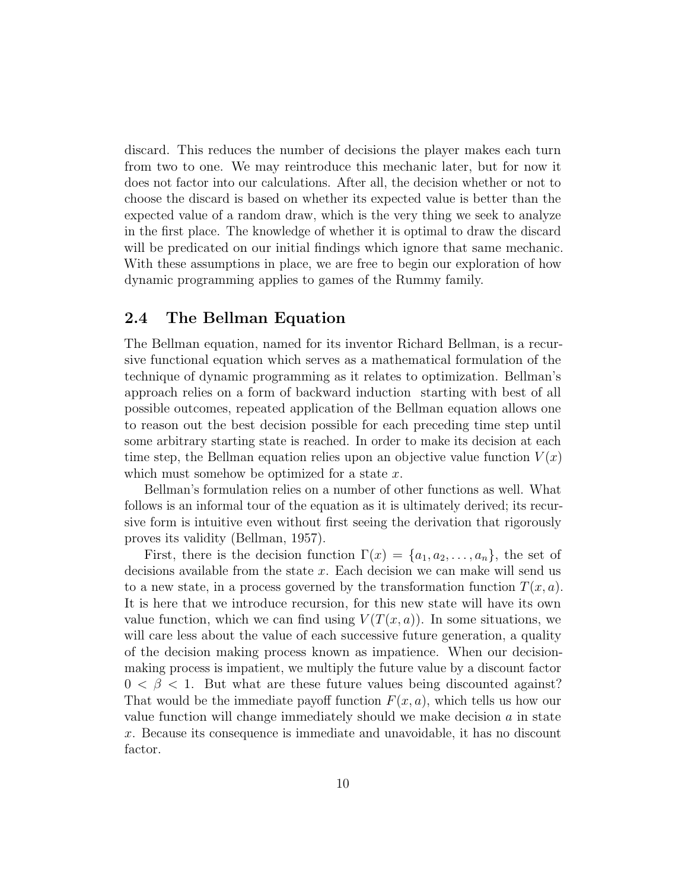discard. This reduces the number of decisions the player makes each turn from two to one. We may reintroduce this mechanic later, but for now it does not factor into our calculations. After all, the decision whether or not to choose the discard is based on whether its expected value is better than the expected value of a random draw, which is the very thing we seek to analyze in the first place. The knowledge of whether it is optimal to draw the discard will be predicated on our initial findings which ignore that same mechanic. With these assumptions in place, we are free to begin our exploration of how dynamic programming applies to games of the Rummy family.

#### 2.4 The Bellman Equation

The Bellman equation, named for its inventor Richard Bellman, is a recursive functional equation which serves as a mathematical formulation of the technique of dynamic programming as it relates to optimization. Bellman's approach relies on a form of backward induction starting with best of all possible outcomes, repeated application of the Bellman equation allows one to reason out the best decision possible for each preceding time step until some arbitrary starting state is reached. In order to make its decision at each time step, the Bellman equation relies upon an objective value function  $V(x)$ which must somehow be optimized for a state  $x$ .

Bellman's formulation relies on a number of other functions as well. What follows is an informal tour of the equation as it is ultimately derived; its recursive form is intuitive even without first seeing the derivation that rigorously proves its validity (Bellman, 1957).

First, there is the decision function  $\Gamma(x) = \{a_1, a_2, \ldots, a_n\}$ , the set of decisions available from the state x. Each decision we can make will send us to a new state, in a process governed by the transformation function  $T(x, a)$ . It is here that we introduce recursion, for this new state will have its own value function, which we can find using  $V(T(x, a))$ . In some situations, we will care less about the value of each successive future generation, a quality of the decision making process known as impatience. When our decisionmaking process is impatient, we multiply the future value by a discount factor  $0 < \beta < 1$ . But what are these future values being discounted against? That would be the immediate payoff function  $F(x, a)$ , which tells us how our value function will change immediately should we make decision  $a$  in state x. Because its consequence is immediate and unavoidable, it has no discount factor.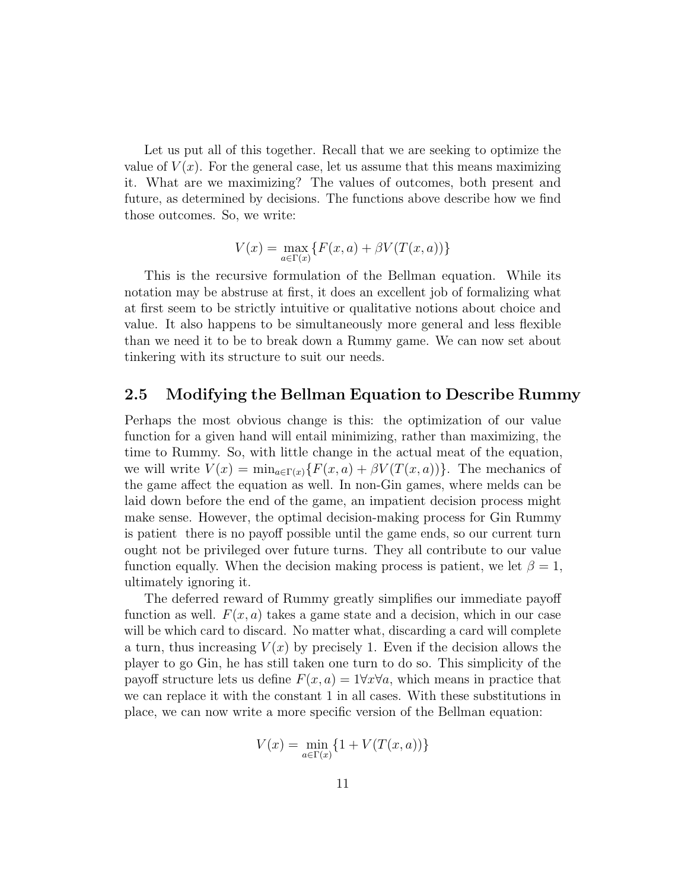Let us put all of this together. Recall that we are seeking to optimize the value of  $V(x)$ . For the general case, let us assume that this means maximizing it. What are we maximizing? The values of outcomes, both present and future, as determined by decisions. The functions above describe how we find those outcomes. So, we write:

$$
V(x) = \max_{a \in \Gamma(x)} \{ F(x, a) + \beta V(T(x, a)) \}
$$

This is the recursive formulation of the Bellman equation. While its notation may be abstruse at first, it does an excellent job of formalizing what at first seem to be strictly intuitive or qualitative notions about choice and value. It also happens to be simultaneously more general and less flexible than we need it to be to break down a Rummy game. We can now set about tinkering with its structure to suit our needs.

#### 2.5 Modifying the Bellman Equation to Describe Rummy

Perhaps the most obvious change is this: the optimization of our value function for a given hand will entail minimizing, rather than maximizing, the time to Rummy. So, with little change in the actual meat of the equation, we will write  $V(x) = \min_{a \in \Gamma(x)} \{F(x, a) + \beta V(T(x, a))\}.$  The mechanics of the game affect the equation as well. In non-Gin games, where melds can be laid down before the end of the game, an impatient decision process might make sense. However, the optimal decision-making process for Gin Rummy is patient there is no payoff possible until the game ends, so our current turn ought not be privileged over future turns. They all contribute to our value function equally. When the decision making process is patient, we let  $\beta = 1$ , ultimately ignoring it.

The deferred reward of Rummy greatly simplifies our immediate payoff function as well.  $F(x, a)$  takes a game state and a decision, which in our case will be which card to discard. No matter what, discarding a card will complete a turn, thus increasing  $V(x)$  by precisely 1. Even if the decision allows the player to go Gin, he has still taken one turn to do so. This simplicity of the payoff structure lets us define  $F(x, a) = 1 \forall x \forall a$ , which means in practice that we can replace it with the constant 1 in all cases. With these substitutions in place, we can now write a more specific version of the Bellman equation:

$$
V(x)=\min_{a\in\Gamma(x)}\{1+V(T(x,a))\}
$$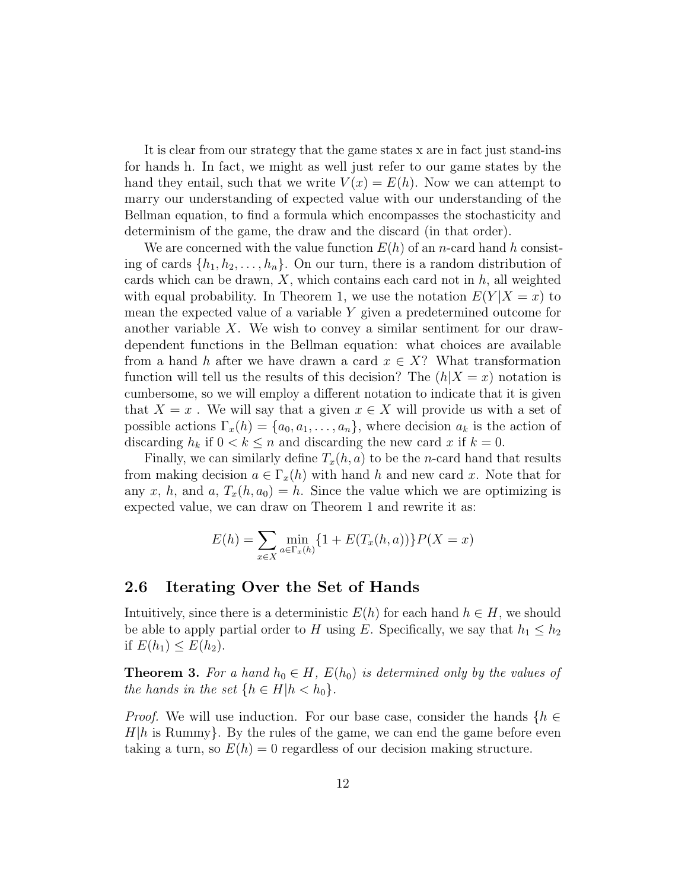It is clear from our strategy that the game states x are in fact just stand-ins for hands h. In fact, we might as well just refer to our game states by the hand they entail, such that we write  $V(x) = E(h)$ . Now we can attempt to marry our understanding of expected value with our understanding of the Bellman equation, to find a formula which encompasses the stochasticity and determinism of the game, the draw and the discard (in that order).

We are concerned with the value function  $E(h)$  of an *n*-card hand h consisting of cards  $\{h_1, h_2, \ldots, h_n\}$ . On our turn, there is a random distribution of cards which can be drawn,  $X$ , which contains each card not in  $h$ , all weighted with equal probability. In Theorem 1, we use the notation  $E(Y|X=x)$  to mean the expected value of a variable Y given a predetermined outcome for another variable  $X$ . We wish to convey a similar sentiment for our drawdependent functions in the Bellman equation: what choices are available from a hand h after we have drawn a card  $x \in X$ ? What transformation function will tell us the results of this decision? The  $(h|X=x)$  notation is cumbersome, so we will employ a different notation to indicate that it is given that  $X = x$ . We will say that a given  $x \in X$  will provide us with a set of possible actions  $\Gamma_x(h) = \{a_0, a_1, \ldots, a_n\}$ , where decision  $a_k$  is the action of discarding  $h_k$  if  $0 < k \leq n$  and discarding the new card x if  $k = 0$ .

Finally, we can similarly define  $T_x(h, a)$  to be the *n*-card hand that results from making decision  $a \in \Gamma_x(h)$  with hand h and new card x. Note that for any x, h, and a,  $T_x(h, a_0) = h$ . Since the value which we are optimizing is expected value, we can draw on Theorem 1 and rewrite it as:

$$
E(h) = \sum_{x \in X} \min_{a \in \Gamma_x(h)} \{1 + E(T_x(h, a))\} P(X = x)
$$

#### 2.6 Iterating Over the Set of Hands

Intuitively, since there is a deterministic  $E(h)$  for each hand  $h \in H$ , we should be able to apply partial order to H using E. Specifically, we say that  $h_1 \leq h_2$ if  $E(h_1) \leq E(h_2)$ .

**Theorem 3.** For a hand  $h_0 \in H$ ,  $E(h_0)$  is determined only by the values of the hands in the set  $\{h \in H | h < h_0\}.$ 

*Proof.* We will use induction. For our base case, consider the hands  $\{h \in$  $H|h$  is Rummy}. By the rules of the game, we can end the game before even taking a turn, so  $E(h) = 0$  regardless of our decision making structure.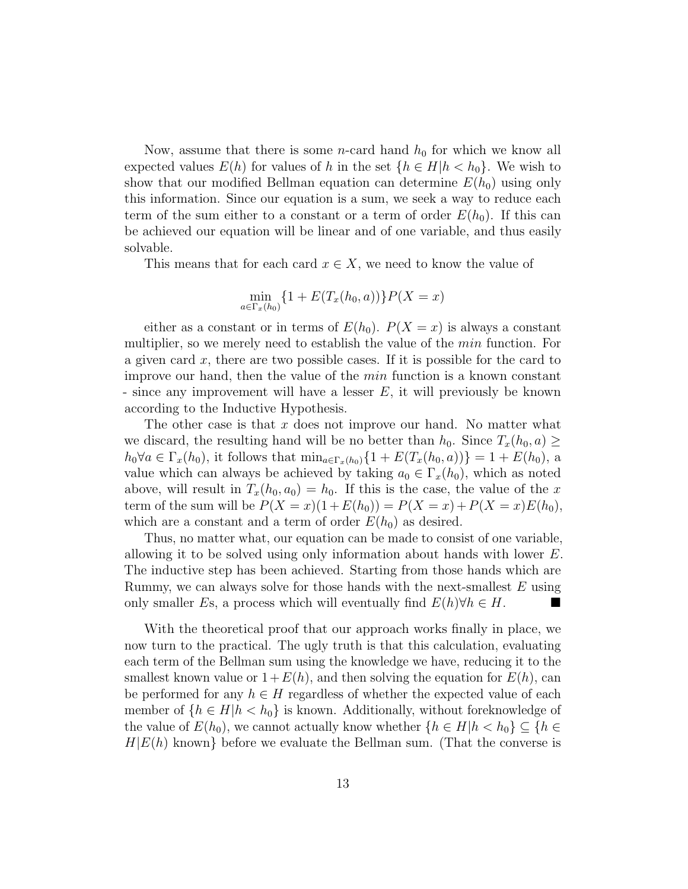Now, assume that there is some *n*-card hand  $h_0$  for which we know all expected values  $E(h)$  for values of h in the set  $\{h \in H | h < h_0\}$ . We wish to show that our modified Bellman equation can determine  $E(h_0)$  using only this information. Since our equation is a sum, we seek a way to reduce each term of the sum either to a constant or a term of order  $E(h_0)$ . If this can be achieved our equation will be linear and of one variable, and thus easily solvable.

This means that for each card  $x \in X$ , we need to know the value of

$$
\min_{a \in \Gamma_x(h_0)} \{1 + E(T_x(h_0, a))\} P(X = x)
$$

either as a constant or in terms of  $E(h_0)$ .  $P(X = x)$  is always a constant multiplier, so we merely need to establish the value of the *min* function. For a given card  $x$ , there are two possible cases. If it is possible for the card to improve our hand, then the value of the min function is a known constant - since any improvement will have a lesser E, it will previously be known according to the Inductive Hypothesis.

The other case is that  $x$  does not improve our hand. No matter what we discard, the resulting hand will be no better than  $h_0$ . Since  $T_x(h_0, a) \geq$  $h_0 \forall a \in \Gamma_x(h_0)$ , it follows that  $\min_{a \in \Gamma_x(h_0)} \{1 + E(T_x(h_0, a))\} = 1 + E(h_0)$ , a value which can always be achieved by taking  $a_0 \in \Gamma_x(h_0)$ , which as noted above, will result in  $T_x(h_0, a_0) = h_0$ . If this is the case, the value of the x term of the sum will be  $P(X = x)(1 + E(h_0)) = P(X = x) + P(X = x)E(h_0)$ , which are a constant and a term of order  $E(h_0)$  as desired.

Thus, no matter what, our equation can be made to consist of one variable, allowing it to be solved using only information about hands with lower E. The inductive step has been achieved. Starting from those hands which are Rummy, we can always solve for those hands with the next-smallest  $E$  using only smaller Es, a process which will eventually find  $E(h)\forall h \in H$ .

With the theoretical proof that our approach works finally in place, we now turn to the practical. The ugly truth is that this calculation, evaluating each term of the Bellman sum using the knowledge we have, reducing it to the smallest known value or  $1 + E(h)$ , and then solving the equation for  $E(h)$ , can be performed for any  $h \in H$  regardless of whether the expected value of each member of  $\{h \in H | h < h_0\}$  is known. Additionally, without foreknowledge of the value of  $E(h_0)$ , we cannot actually know whether  $\{h \in H | h < h_0\} \subseteq \{h \in$  $H|E(h)$  known} before we evaluate the Bellman sum. (That the converse is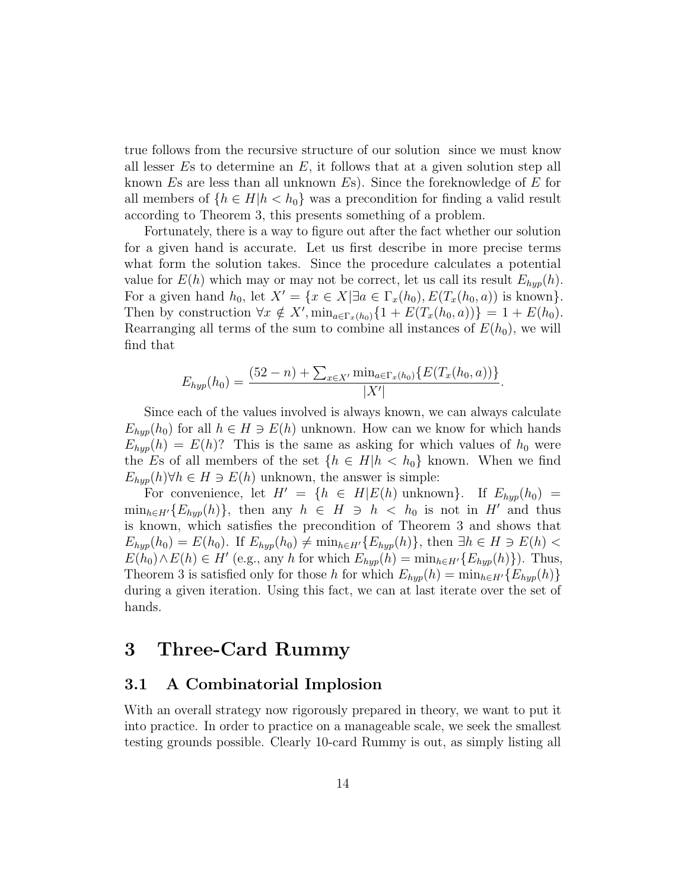true follows from the recursive structure of our solution since we must know all lesser  $Es$  to determine an  $E$ , it follows that at a given solution step all known  $E$ s are less than all unknown  $E$ s). Since the foreknowledge of  $E$  for all members of  ${h \in H | h < h_0}$  was a precondition for finding a valid result according to Theorem 3, this presents something of a problem.

Fortunately, there is a way to figure out after the fact whether our solution for a given hand is accurate. Let us first describe in more precise terms what form the solution takes. Since the procedure calculates a potential value for  $E(h)$  which may or may not be correct, let us call its result  $E_{hyp}(h)$ . For a given hand  $h_0$ , let  $X' = \{x \in X | \exists a \in \Gamma_x(h_0), E(T_x(h_0, a)) \text{ is known}\}.$ Then by construction  $\forall x \notin X'$ ,  $\min_{a \in \Gamma_x(h_0)} \{1 + E(T_x(h_0, a))\} = 1 + E(h_0)$ . Rearranging all terms of the sum to combine all instances of  $E(h_0)$ , we will find that

$$
E_{hyp}(h_0) = \frac{(52 - n) + \sum_{x \in X'} \min_{a \in \Gamma_x(h_0)} \{E(T_x(h_0, a))\}}{|X'|}
$$

.

Since each of the values involved is always known, we can always calculate  $E_{hvp}(h_0)$  for all  $h \in H \ni E(h)$  unknown. How can we know for which hands  $E_{hyp}(h) = E(h)$ ? This is the same as asking for which values of  $h_0$  were the Es of all members of the set  $\{h \in H | h \langle h_0 \rangle\}$  known. When we find  $E_{hyp}(h) \forall h \in H \ni E(h)$  unknown, the answer is simple:

For convenience, let  $H' = \{h \in H | E(h) \text{ unknown}\}\$ . If  $E_{hyp}(h_0) =$  $\min_{h\in H'}\{E_{hyp}(h)\}\$ , then any  $h \in H \ni h \langle h_0 \rangle$  is not in H' and thus is known, which satisfies the precondition of Theorem 3 and shows that  $E_{hyp}(h_0) = E(h_0)$ . If  $E_{hyp}(h_0) \neq \min_{h \in H'} \{E_{hyp}(h)\}$ , then  $\exists h \in H \ni E(h)$  $E(h_0) \wedge E(h) \in H'$  (e.g., any h for which  $E_{hyp}(h) = \min_{h \in H'} \{E_{hyp}(h)\}\)$ . Thus, Theorem 3 is satisfied only for those h for which  $E_{hyp}(h) = \min_{h \in H'} \{E_{hyp}(h)\}\$ during a given iteration. Using this fact, we can at last iterate over the set of hands.

# 3 Three-Card Rummy

#### 3.1 A Combinatorial Implosion

With an overall strategy now rigorously prepared in theory, we want to put it into practice. In order to practice on a manageable scale, we seek the smallest testing grounds possible. Clearly 10-card Rummy is out, as simply listing all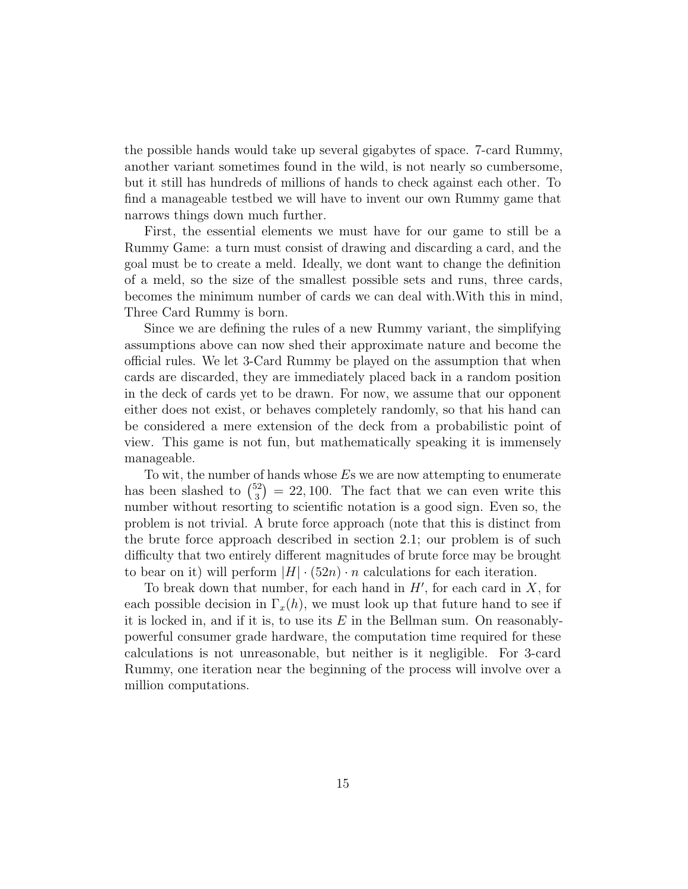the possible hands would take up several gigabytes of space. 7-card Rummy, another variant sometimes found in the wild, is not nearly so cumbersome, but it still has hundreds of millions of hands to check against each other. To find a manageable testbed we will have to invent our own Rummy game that narrows things down much further.

First, the essential elements we must have for our game to still be a Rummy Game: a turn must consist of drawing and discarding a card, and the goal must be to create a meld. Ideally, we dont want to change the definition of a meld, so the size of the smallest possible sets and runs, three cards, becomes the minimum number of cards we can deal with.With this in mind, Three Card Rummy is born.

Since we are defining the rules of a new Rummy variant, the simplifying assumptions above can now shed their approximate nature and become the official rules. We let 3-Card Rummy be played on the assumption that when cards are discarded, they are immediately placed back in a random position in the deck of cards yet to be drawn. For now, we assume that our opponent either does not exist, or behaves completely randomly, so that his hand can be considered a mere extension of the deck from a probabilistic point of view. This game is not fun, but mathematically speaking it is immensely manageable.

To wit, the number of hands whose  $E$ s we are now attempting to enumerate has been slashed to  $\binom{52}{3}$  $(3<sup>3</sup>)<sub>3</sub>$  = 22, 100. The fact that we can even write this number without resorting to scientific notation is a good sign. Even so, the problem is not trivial. A brute force approach (note that this is distinct from the brute force approach described in section 2.1; our problem is of such difficulty that two entirely different magnitudes of brute force may be brought to bear on it) will perform  $|H| \cdot (52n) \cdot n$  calculations for each iteration.

To break down that number, for each hand in  $H'$ , for each card in  $X$ , for each possible decision in  $\Gamma_x(h)$ , we must look up that future hand to see if it is locked in, and if it is, to use its  $E$  in the Bellman sum. On reasonablypowerful consumer grade hardware, the computation time required for these calculations is not unreasonable, but neither is it negligible. For 3-card Rummy, one iteration near the beginning of the process will involve over a million computations.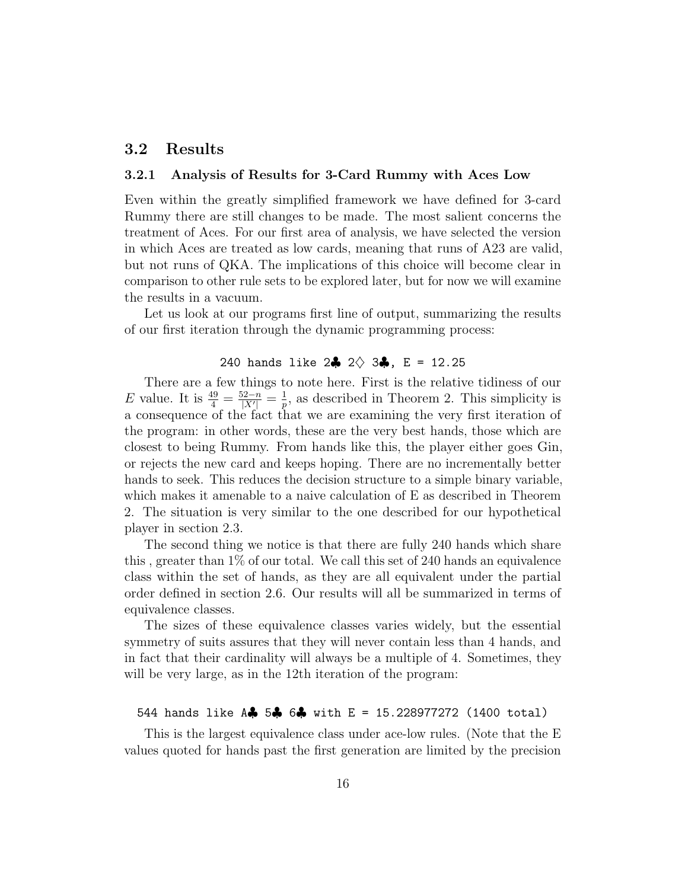#### 3.2 Results

#### 3.2.1 Analysis of Results for 3-Card Rummy with Aces Low

Even within the greatly simplified framework we have defined for 3-card Rummy there are still changes to be made. The most salient concerns the treatment of Aces. For our first area of analysis, we have selected the version in which Aces are treated as low cards, meaning that runs of A23 are valid, but not runs of QKA. The implications of this choice will become clear in comparison to other rule sets to be explored later, but for now we will examine the results in a vacuum.

Let us look at our programs first line of output, summarizing the results of our first iteration through the dynamic programming process:

#### 240 hands like  $2\clubsuit$   $2\diamondsuit$   $3\clubsuit$ , E = 12.25

There are a few things to note here. First is the relative tidiness of our *E* value. It is  $\frac{49}{4} = \frac{52-n}{|X'|}$  $\frac{52-n}{|X'|} = \frac{1}{p}$  $\frac{1}{p}$ , as described in Theorem 2. This simplicity is a consequence of the fact that we are examining the very first iteration of the program: in other words, these are the very best hands, those which are closest to being Rummy. From hands like this, the player either goes Gin, or rejects the new card and keeps hoping. There are no incrementally better hands to seek. This reduces the decision structure to a simple binary variable, which makes it amenable to a naive calculation of E as described in Theorem 2. The situation is very similar to the one described for our hypothetical player in section 2.3.

The second thing we notice is that there are fully 240 hands which share this , greater than 1% of our total. We call this set of 240 hands an equivalence class within the set of hands, as they are all equivalent under the partial order defined in section 2.6. Our results will all be summarized in terms of equivalence classes.

The sizes of these equivalence classes varies widely, but the essential symmetry of suits assures that they will never contain less than 4 hands, and in fact that their cardinality will always be a multiple of 4. Sometimes, they will be very large, as in the 12<sup>th</sup> iteration of the program:

#### 544 hands like A♣ 5♣ 6♣ with E = 15.228977272 (1400 total)

This is the largest equivalence class under ace-low rules. (Note that the E values quoted for hands past the first generation are limited by the precision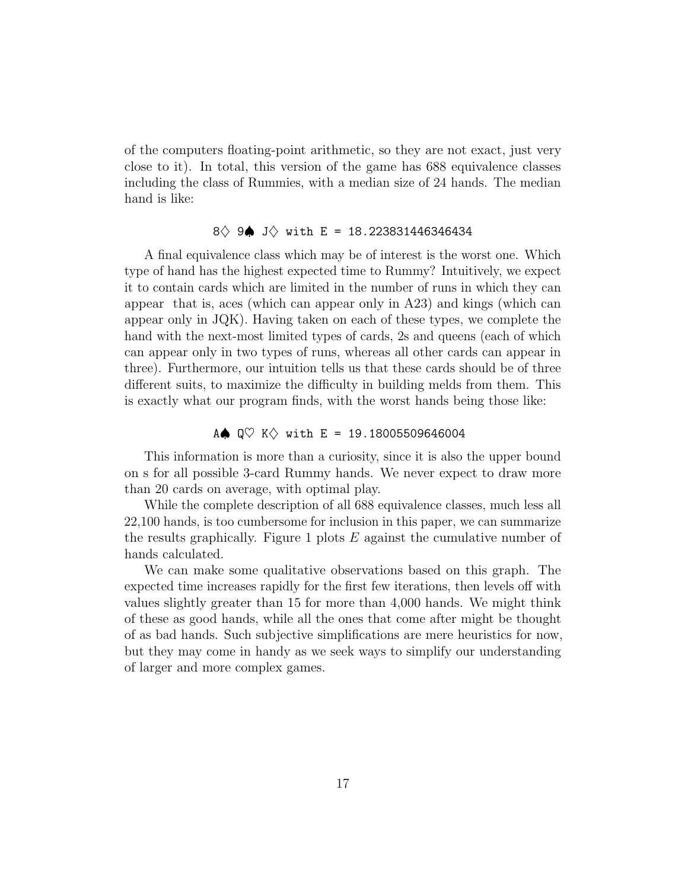of the computers floating-point arithmetic, so they are not exact, just very close to it). In total, this version of the game has 688 equivalence classes including the class of Rummies, with a median size of 24 hands. The median hand is like:

#### 8 → 9● J → with E = 18.223831446346434

A final equivalence class which may be of interest is the worst one. Which type of hand has the highest expected time to Rummy? Intuitively, we expect it to contain cards which are limited in the number of runs in which they can appear that is, aces (which can appear only in A23) and kings (which can appear only in JQK). Having taken on each of these types, we complete the hand with the next-most limited types of cards, 2s and queens (each of which can appear only in two types of runs, whereas all other cards can appear in three). Furthermore, our intuition tells us that these cards should be of three different suits, to maximize the difficulty in building melds from them. This is exactly what our program finds, with the worst hands being those like:

#### A $\spadesuit$  Q $\heartsuit$  K $\diamondsuit$  with E = 19.18005509646004

This information is more than a curiosity, since it is also the upper bound on s for all possible 3-card Rummy hands. We never expect to draw more than 20 cards on average, with optimal play.

While the complete description of all 688 equivalence classes, much less all 22,100 hands, is too cumbersome for inclusion in this paper, we can summarize the results graphically. Figure 1 plots  $E$  against the cumulative number of hands calculated.

We can make some qualitative observations based on this graph. The expected time increases rapidly for the first few iterations, then levels off with values slightly greater than 15 for more than 4,000 hands. We might think of these as good hands, while all the ones that come after might be thought of as bad hands. Such subjective simplifications are mere heuristics for now, but they may come in handy as we seek ways to simplify our understanding of larger and more complex games.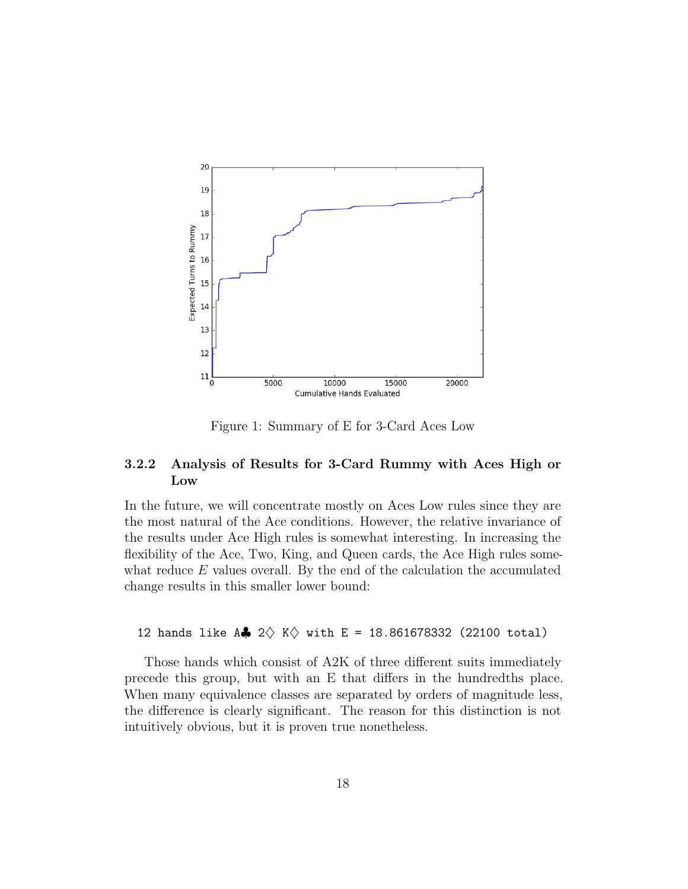

Figure 1: Summary of E for 3-Card Aces Low

#### 3.2.2 Analysis of Results for 3-Card Rummy with Aces High or Low

In the future, we will concentrate mostly on Aces Low rules since they are the most natural of the Ace conditions. However, the relative invariance of the results under Ace High rules is somewhat interesting. In increasing the flexibility of the Ace, Two, King, and Queen cards, the Ace High rules somewhat reduce  $E$  values overall. By the end of the calculation the accumulated change results in this smaller lower bound:

#### 12 hands like A $\clubsuit$  2 $\diamondsuit$  K $\diamondsuit$  with E = 18.861678332 (22100 total)

Those hands which consist of A2K of three different suits immediately precede this group, but with an E that differs in the hundredths place. When many equivalence classes are separated by orders of magnitude less, the difference is clearly significant. The reason for this distinction is not intuitively obvious, but it is proven true nonetheless.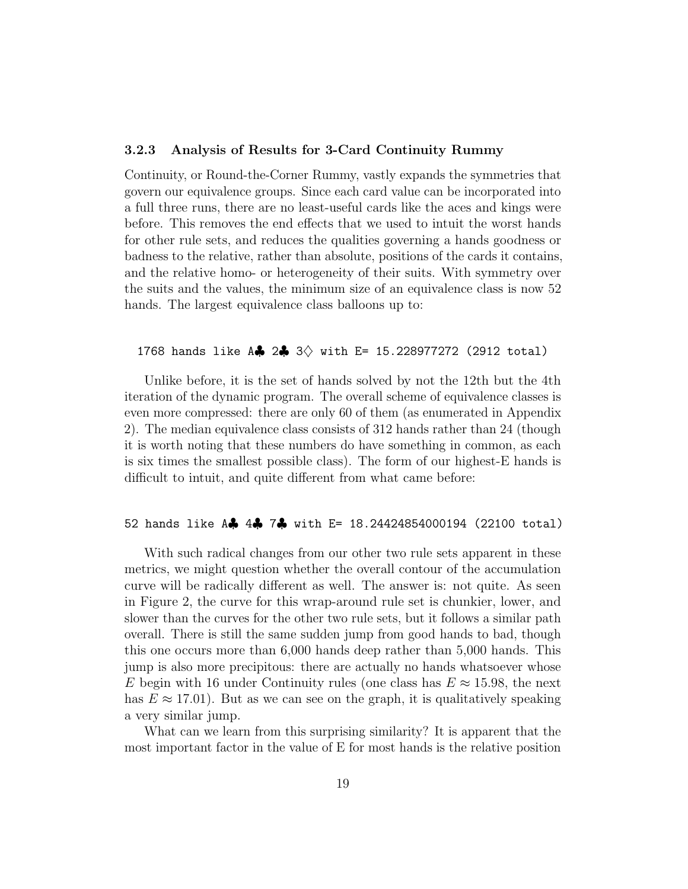#### 3.2.3 Analysis of Results for 3-Card Continuity Rummy

Continuity, or Round-the-Corner Rummy, vastly expands the symmetries that govern our equivalence groups. Since each card value can be incorporated into a full three runs, there are no least-useful cards like the aces and kings were before. This removes the end effects that we used to intuit the worst hands for other rule sets, and reduces the qualities governing a hands goodness or badness to the relative, rather than absolute, positions of the cards it contains, and the relative homo- or heterogeneity of their suits. With symmetry over the suits and the values, the minimum size of an equivalence class is now 52 hands. The largest equivalence class balloons up to:

#### 1768 hands like A $\clubsuit$  2 $\clubsuit$  3 $\lozenge$  with E= 15.228977272 (2912 total)

Unlike before, it is the set of hands solved by not the 12th but the 4th iteration of the dynamic program. The overall scheme of equivalence classes is even more compressed: there are only 60 of them (as enumerated in Appendix 2). The median equivalence class consists of 312 hands rather than 24 (though it is worth noting that these numbers do have something in common, as each is six times the smallest possible class). The form of our highest-E hands is difficult to intuit, and quite different from what came before:

#### 52 hands like A♣ 4♣ 7♣ with E= 18.24424854000194 (22100 total)

With such radical changes from our other two rule sets apparent in these metrics, we might question whether the overall contour of the accumulation curve will be radically different as well. The answer is: not quite. As seen in Figure 2, the curve for this wrap-around rule set is chunkier, lower, and slower than the curves for the other two rule sets, but it follows a similar path overall. There is still the same sudden jump from good hands to bad, though this one occurs more than 6,000 hands deep rather than 5,000 hands. This jump is also more precipitous: there are actually no hands whatsoever whose E begin with 16 under Continuity rules (one class has  $E \approx 15.98$ , the next has  $E \approx 17.01$ . But as we can see on the graph, it is qualitatively speaking a very similar jump.

What can we learn from this surprising similarity? It is apparent that the most important factor in the value of E for most hands is the relative position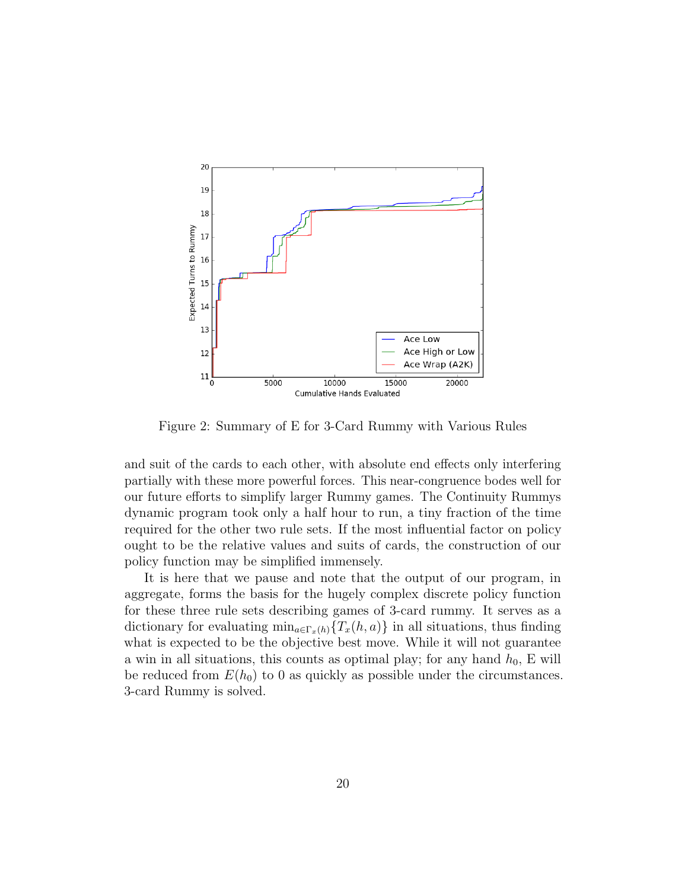

Figure 2: Summary of E for 3-Card Rummy with Various Rules

and suit of the cards to each other, with absolute end effects only interfering partially with these more powerful forces. This near-congruence bodes well for our future efforts to simplify larger Rummy games. The Continuity Rummys dynamic program took only a half hour to run, a tiny fraction of the time required for the other two rule sets. If the most influential factor on policy ought to be the relative values and suits of cards, the construction of our policy function may be simplified immensely.

It is here that we pause and note that the output of our program, in aggregate, forms the basis for the hugely complex discrete policy function for these three rule sets describing games of 3-card rummy. It serves as a dictionary for evaluating  $\min_{a \in \Gamma_x(h)} \{T_x(h, a)\}\$ in all situations, thus finding what is expected to be the objective best move. While it will not guarantee a win in all situations, this counts as optimal play; for any hand  $h_0$ , E will be reduced from  $E(h_0)$  to 0 as quickly as possible under the circumstances. 3-card Rummy is solved.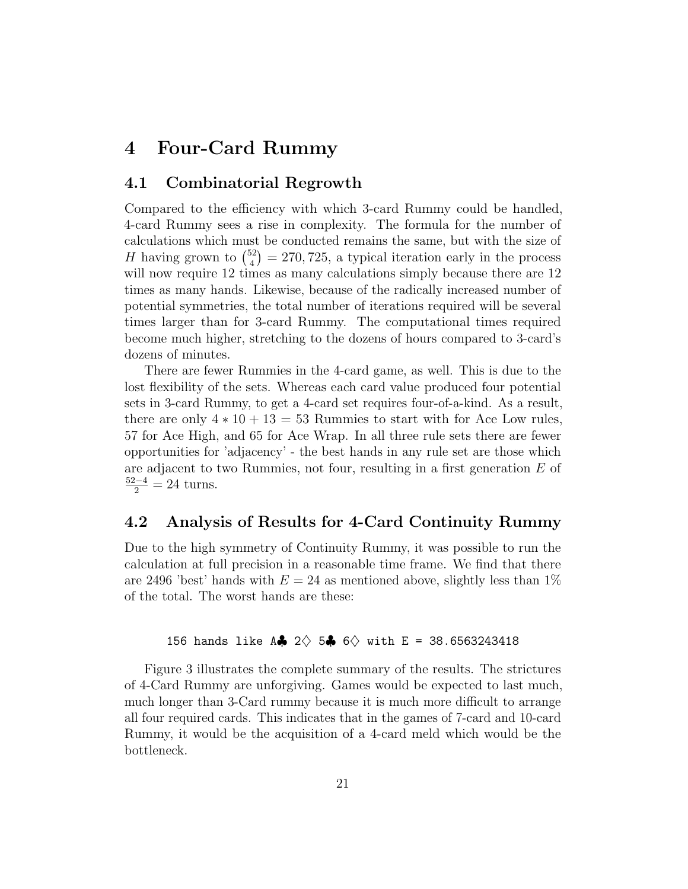# 4 Four-Card Rummy

#### 4.1 Combinatorial Regrowth

Compared to the efficiency with which 3-card Rummy could be handled, 4-card Rummy sees a rise in complexity. The formula for the number of calculations which must be conducted remains the same, but with the size of H having grown to  $\binom{52}{4}$  $\binom{52}{4} = 270, 725,$  a typical iteration early in the process will now require 12 times as many calculations simply because there are 12 times as many hands. Likewise, because of the radically increased number of potential symmetries, the total number of iterations required will be several times larger than for 3-card Rummy. The computational times required become much higher, stretching to the dozens of hours compared to 3-card's dozens of minutes.

There are fewer Rummies in the 4-card game, as well. This is due to the lost flexibility of the sets. Whereas each card value produced four potential sets in 3-card Rummy, to get a 4-card set requires four-of-a-kind. As a result, there are only  $4 * 10 + 13 = 53$  Rummies to start with for Ace Low rules, 57 for Ace High, and 65 for Ace Wrap. In all three rule sets there are fewer opportunities for 'adjacency' - the best hands in any rule set are those which are adjacent to two Rummies, not four, resulting in a first generation E of  $\frac{52-4}{2} = 24$  turns.

#### 4.2 Analysis of Results for 4-Card Continuity Rummy

Due to the high symmetry of Continuity Rummy, it was possible to run the calculation at full precision in a reasonable time frame. We find that there are 2496 'best' hands with  $E = 24$  as mentioned above, slightly less than  $1\%$ of the total. The worst hands are these:

#### 156 hands like A $\clubsuit$  2 $\lozenge$  5 $\clubsuit$  6 $\lozenge$  with E = 38.6563243418

Figure 3 illustrates the complete summary of the results. The strictures of 4-Card Rummy are unforgiving. Games would be expected to last much, much longer than 3-Card rummy because it is much more difficult to arrange all four required cards. This indicates that in the games of 7-card and 10-card Rummy, it would be the acquisition of a 4-card meld which would be the bottleneck.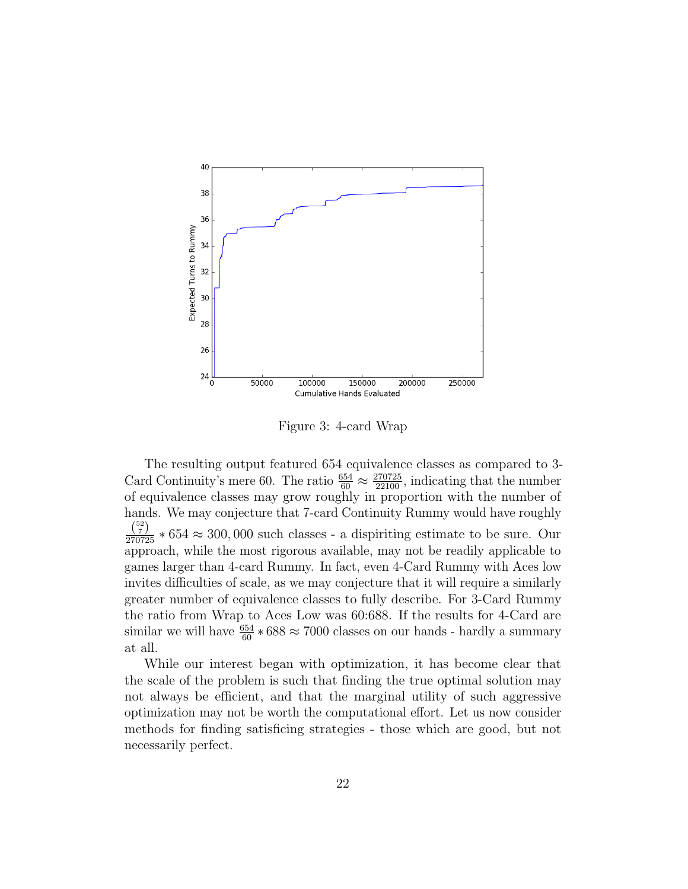

Figure 3: 4-card Wrap

The resulting output featured 654 equivalence classes as compared to 3- Card Continuity's mere 60. The ratio  $\frac{654}{60} \approx \frac{270725}{22100}$ , indicating that the number of equivalence classes may grow roughly in proportion with the number of hands. We may conjecture that 7-card Continuity Rummy would have roughly  $\frac{\binom{52}{7}}{270725} * 654 \approx 300,000$  such classes - a dispiriting estimate to be sure. Our approach, while the most rigorous available, may not be readily applicable to games larger than 4-card Rummy. In fact, even 4-Card Rummy with Aces low invites difficulties of scale, as we may conjecture that it will require a similarly greater number of equivalence classes to fully describe. For 3-Card Rummy the ratio from Wrap to Aces Low was 60:688. If the results for 4-Card are similar we will have  $\frac{654}{60} * 688 \approx 7000$  classes on our hands - hardly a summary at all.

While our interest began with optimization, it has become clear that the scale of the problem is such that finding the true optimal solution may not always be efficient, and that the marginal utility of such aggressive optimization may not be worth the computational effort. Let us now consider methods for finding satisficing strategies - those which are good, but not necessarily perfect.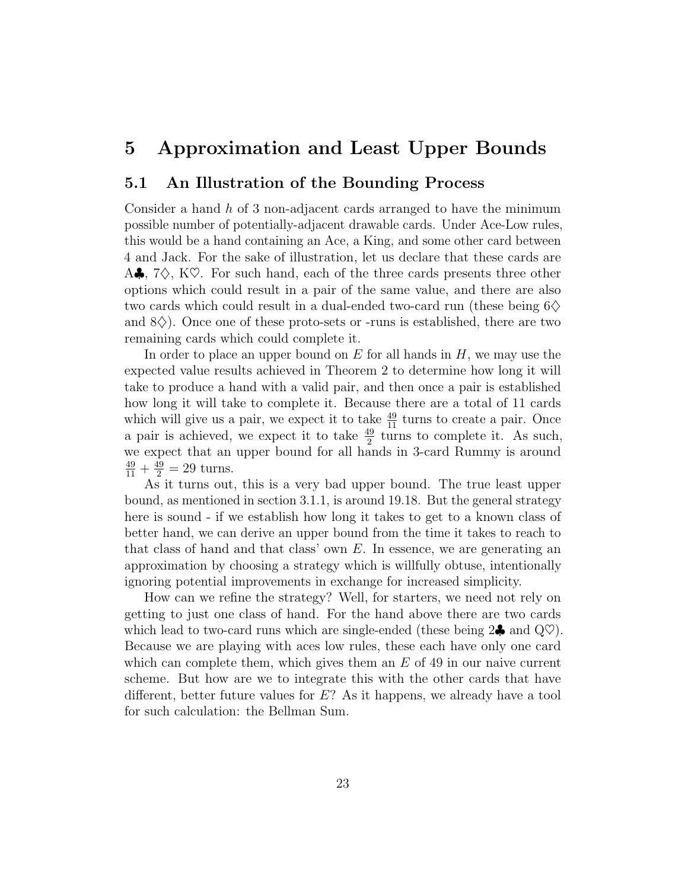# 5 Approximation and Least Upper Bounds

#### 5.1 An Illustration of the Bounding Process

Consider a hand  $h$  of 3 non-adjacent cards arranged to have the minimum possible number of potentially-adjacent drawable cards. Under Ace-Low rules, this would be a hand containing an Ace, a King, and some other card between 4 and Jack. For the sake of illustration, let us declare that these cards are A.,  $7\Diamond$ , K $\heartsuit$ . For such hand, each of the three cards presents three other options which could result in a pair of the same value, and there are also two cards which could result in a dual-ended two-card run (these being  $6\diamondsuit$ and  $8\diamondsuit$ ). Once one of these proto-sets or -runs is established, there are two remaining cards which could complete it.

In order to place an upper bound on  $E$  for all hands in  $H$ , we may use the expected value results achieved in Theorem 2 to determine how long it will take to produce a hand with a valid pair, and then once a pair is established how long it will take to complete it. Because there are a total of 11 cards which will give us a pair, we expect it to take  $\frac{49}{11}$  turns to create a pair. Once a pair is achieved, we expect it to take  $\frac{49}{2}$  turns to complete it. As such, we expect that an upper bound for all hands in 3-card Rummy is around  $\frac{49}{11} + \frac{49}{2} = 29$  turns.

As it turns out, this is a very bad upper bound. The true least upper bound, as mentioned in section 3.1.1, is around 19.18. But the general strategy here is sound - if we establish how long it takes to get to a known class of better hand, we can derive an upper bound from the time it takes to reach to that class of hand and that class' own  $E$ . In essence, we are generating an approximation by choosing a strategy which is willfully obtuse, intentionally ignoring potential improvements in exchange for increased simplicity.

How can we refine the strategy? Well, for starters, we need not rely on getting to just one class of hand. For the hand above there are two cards which lead to two-card runs which are single-ended (these being  $2\clubsuit$  and  $\mathbb{Q}^{\heartsuit}$ ). Because we are playing with aces low rules, these each have only one card which can complete them, which gives them an  $E$  of 49 in our naive current scheme. But how are we to integrate this with the other cards that have different, better future values for  $E$ ? As it happens, we already have a tool for such calculation: the Bellman Sum.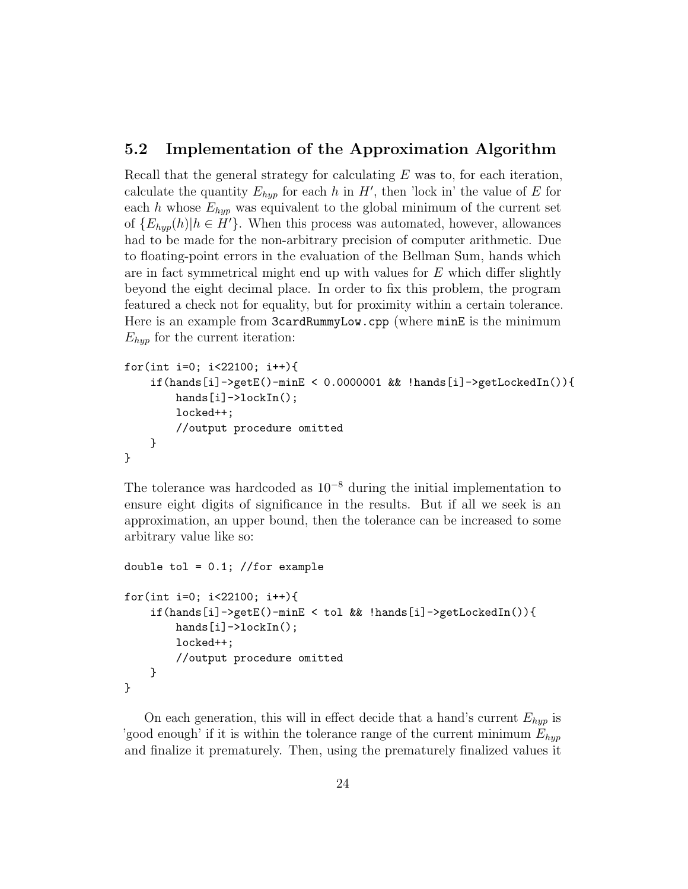#### 5.2 Implementation of the Approximation Algorithm

Recall that the general strategy for calculating  $E$  was to, for each iteration, calculate the quantity  $E_{hyp}$  for each h in H', then 'lock in' the value of E for each h whose  $E_{hyp}$  was equivalent to the global minimum of the current set of  $\{E_{hyp}(h)|h \in H'\}$ . When this process was automated, however, allowances had to be made for the non-arbitrary precision of computer arithmetic. Due to floating-point errors in the evaluation of the Bellman Sum, hands which are in fact symmetrical might end up with values for  $E$  which differ slightly beyond the eight decimal place. In order to fix this problem, the program featured a check not for equality, but for proximity within a certain tolerance. Here is an example from 3cardRummyLow.cpp (where minE is the minimum  $E_{hyp}$  for the current iteration:

```
for(int i=0; i<22100; i++){
    if(hands[i]->getE()-minE < 0.0000001 && !hands[i]->getLockedIn()){
        hands[i]->lockIn();
        locked++;
        //output procedure omitted
    }
}
```
The tolerance was hardcoded as  $10^{-8}$  during the initial implementation to ensure eight digits of significance in the results. But if all we seek is an approximation, an upper bound, then the tolerance can be increased to some arbitrary value like so:

```
double tol = 0.1; //for example
for(int i=0; i<22100; i++){
    if(hands[i]->getE()-minE < tol && !hands[i]->getLockedIn()){
        hands[i]->lockIn();
        locked++;
        //output procedure omitted
    }
}
```
On each generation, this will in effect decide that a hand's current  $E_{hyp}$  is 'good enough' if it is within the tolerance range of the current minimum  $E_{hyp}$ and finalize it prematurely. Then, using the prematurely finalized values it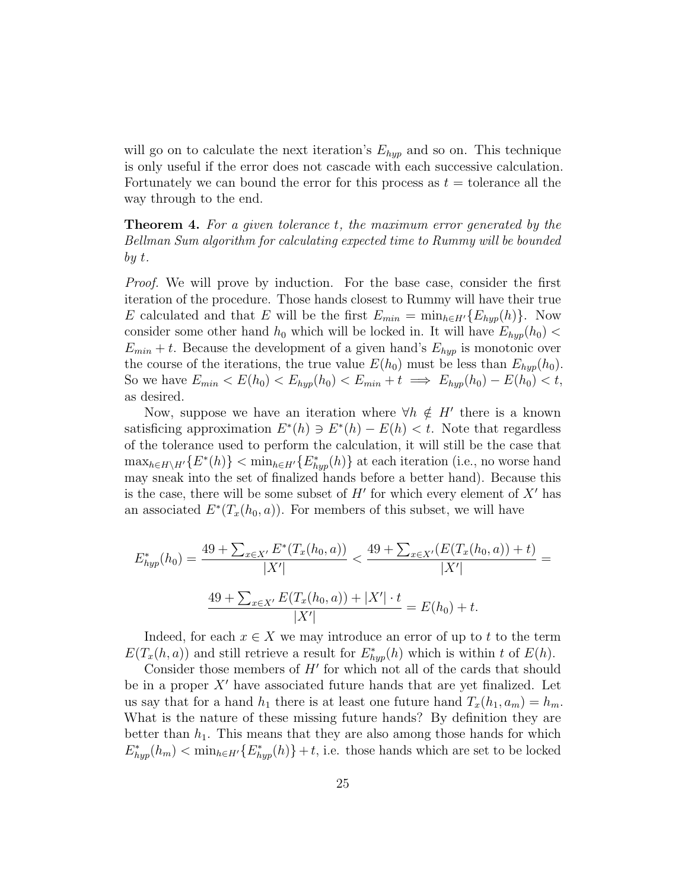will go on to calculate the next iteration's  $E_{hyp}$  and so on. This technique is only useful if the error does not cascade with each successive calculation. Fortunately we can bound the error for this process as  $t =$  tolerance all the way through to the end.

**Theorem 4.** For a given tolerance t, the maximum error generated by the Bellman Sum algorithm for calculating expected time to Rummy will be bounded by t.

Proof. We will prove by induction. For the base case, consider the first iteration of the procedure. Those hands closest to Rummy will have their true E calculated and that E will be the first  $E_{min} = \min_{h \in H'} \{E_{hyp}(h)\}\.$  Now consider some other hand  $h_0$  which will be locked in. It will have  $E_{hyp}(h_0)$  <  $E_{min} + t$ . Because the development of a given hand's  $E_{hyp}$  is monotonic over the course of the iterations, the true value  $E(h_0)$  must be less than  $E_{hyp}(h_0)$ . So we have  $E_{min} < E(h_0) < E_{hyp}(h_0) < E_{min} + t \implies E_{hyp}(h_0) - E(h_0) < t$ , as desired.

Now, suppose we have an iteration where  $\forall h \notin H'$  there is a known satisficing approximation  $E^*(h) \ni E^*(h) - E(h) < t$ . Note that regardless of the tolerance used to perform the calculation, it will still be the case that  $\max_{h \in H \setminus H'} \{E^*(h)\} < \min_{h \in H'} \{E^*_{hyp}(h)\}\$ at each iteration (i.e., no worse hand may sneak into the set of finalized hands before a better hand). Because this is the case, there will be some subset of  $H'$  for which every element of  $X'$  has an associated  $E^*(T_x(h_0, a))$ . For members of this subset, we will have

$$
E_{hyp}^*(h_0) = \frac{49 + \sum_{x \in X'} E^*(T_x(h_0, a))}{|X'|} < \frac{49 + \sum_{x \in X'} (E(T_x(h_0, a)) + t)}{|X'|} = \frac{49 + \sum_{x \in X'} E(T_x(h_0, a)) + |X'| \cdot t}{|X'|} = E(h_0) + t.
$$

Indeed, for each  $x \in X$  we may introduce an error of up to t to the term  $E(T_x(h, a))$  and still retrieve a result for  $E^*_{hyp}(h)$  which is within t of  $E(h)$ .

Consider those members of  $H'$  for which not all of the cards that should be in a proper  $X'$  have associated future hands that are yet finalized. Let us say that for a hand  $h_1$  there is at least one future hand  $T_x(h_1, a_m) = h_m$ . What is the nature of these missing future hands? By definition they are better than  $h_1$ . This means that they are also among those hands for which  $E^*_{hyp}(h_m) < \min_{h \in H'} \{ E^*_{hyp}(h) \} + t$ , i.e. those hands which are set to be locked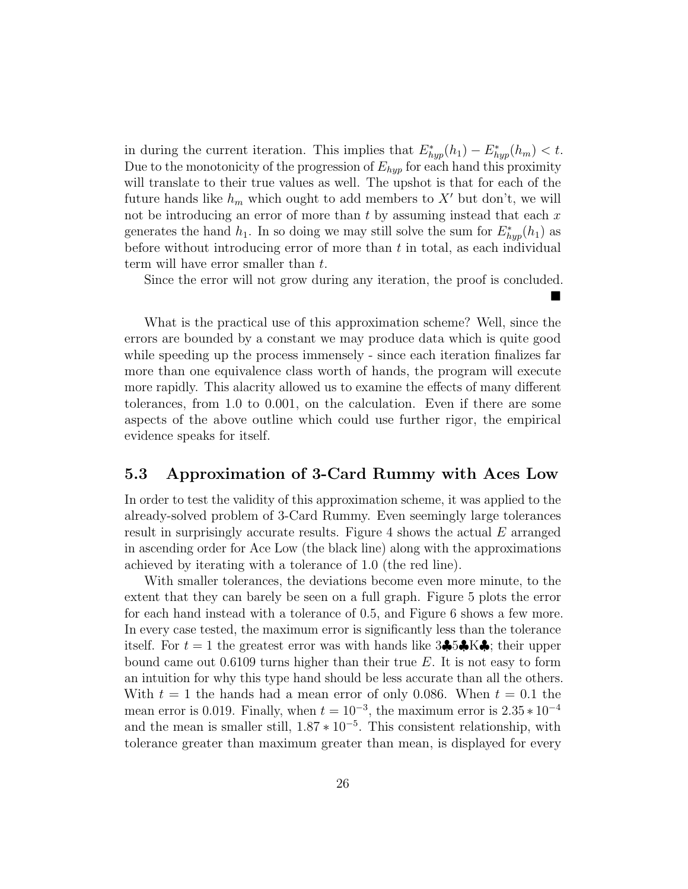in during the current iteration. This implies that  $E^*_{hyp}(h_1) - E^*_{hyp}(h_m) < t$ . Due to the monotonicity of the progression of  $E_{hyp}$  for each hand this proximity will translate to their true values as well. The upshot is that for each of the future hands like  $h_m$  which ought to add members to X' but don't, we will not be introducing an error of more than  $t$  by assuming instead that each  $x$ generates the hand  $h_1$ . In so doing we may still solve the sum for  $E^*_{hyp}(h_1)$  as before without introducing error of more than  $t$  in total, as each individual term will have error smaller than t.

Since the error will not grow during any iteration, the proof is concluded.  $\blacksquare$ 

What is the practical use of this approximation scheme? Well, since the errors are bounded by a constant we may produce data which is quite good while speeding up the process immensely - since each iteration finalizes far more than one equivalence class worth of hands, the program will execute more rapidly. This alacrity allowed us to examine the effects of many different tolerances, from 1.0 to 0.001, on the calculation. Even if there are some aspects of the above outline which could use further rigor, the empirical evidence speaks for itself.

#### 5.3 Approximation of 3-Card Rummy with Aces Low

In order to test the validity of this approximation scheme, it was applied to the already-solved problem of 3-Card Rummy. Even seemingly large tolerances result in surprisingly accurate results. Figure 4 shows the actual E arranged in ascending order for Ace Low (the black line) along with the approximations achieved by iterating with a tolerance of 1.0 (the red line).

With smaller tolerances, the deviations become even more minute, to the extent that they can barely be seen on a full graph. Figure 5 plots the error for each hand instead with a tolerance of 0.5, and Figure 6 shows a few more. In every case tested, the maximum error is significantly less than the tolerance itself. For  $t = 1$  the greatest error was with hands like  $3\clubsuit 5\clubsuit K\clubsuit$ ; their upper bound came out  $0.6109$  turns higher than their true E. It is not easy to form an intuition for why this type hand should be less accurate than all the others. With  $t = 1$  the hands had a mean error of only 0.086. When  $t = 0.1$  the mean error is 0.019. Finally, when  $t = 10^{-3}$ , the maximum error is  $2.35 * 10^{-4}$ and the mean is smaller still,  $1.87 * 10^{-5}$ . This consistent relationship, with tolerance greater than maximum greater than mean, is displayed for every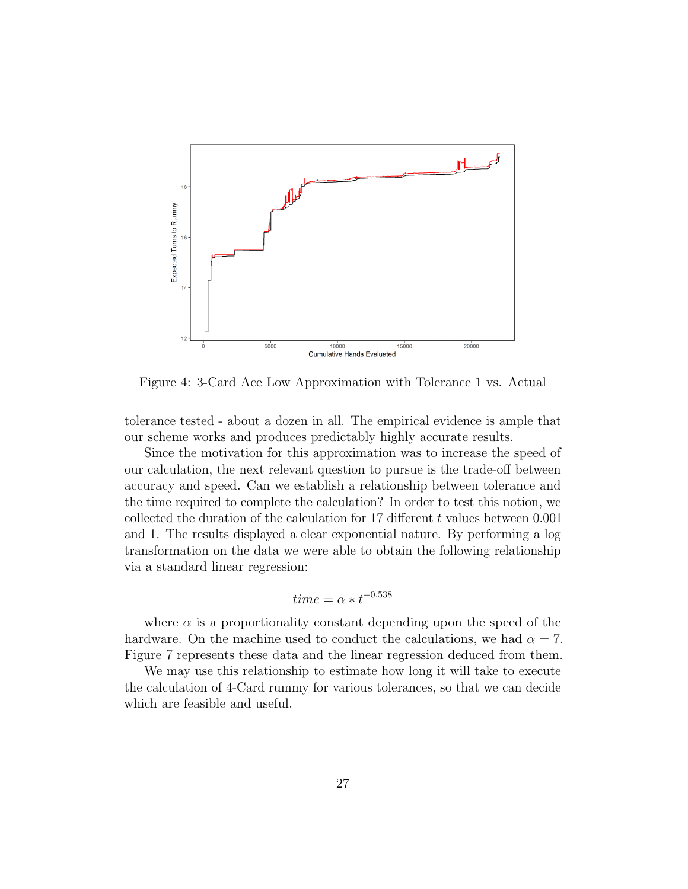

Figure 4: 3-Card Ace Low Approximation with Tolerance 1 vs. Actual

tolerance tested - about a dozen in all. The empirical evidence is ample that our scheme works and produces predictably highly accurate results.

Since the motivation for this approximation was to increase the speed of our calculation, the next relevant question to pursue is the trade-off between accuracy and speed. Can we establish a relationship between tolerance and the time required to complete the calculation? In order to test this notion, we collected the duration of the calculation for 17 different  $t$  values between 0.001 and 1. The results displayed a clear exponential nature. By performing a log transformation on the data we were able to obtain the following relationship via a standard linear regression:

$$
time = \alpha * t^{-0.538}
$$

where  $\alpha$  is a proportionality constant depending upon the speed of the hardware. On the machine used to conduct the calculations, we had  $\alpha = 7$ . Figure 7 represents these data and the linear regression deduced from them.

We may use this relationship to estimate how long it will take to execute the calculation of 4-Card rummy for various tolerances, so that we can decide which are feasible and useful.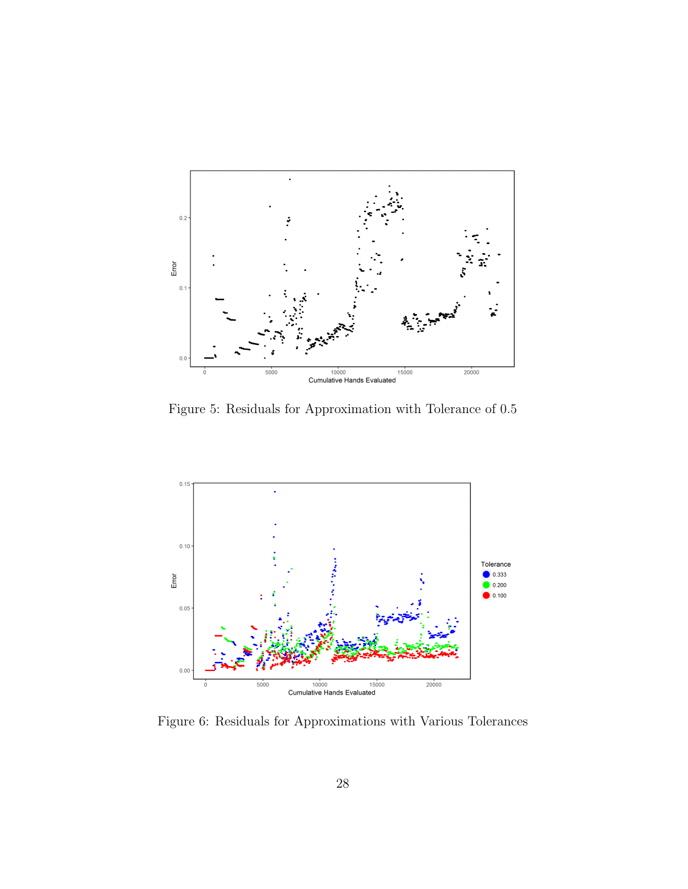

Figure 5: Residuals for Approximation with Tolerance of 0.5



Figure 6: Residuals for Approximations with Various Tolerances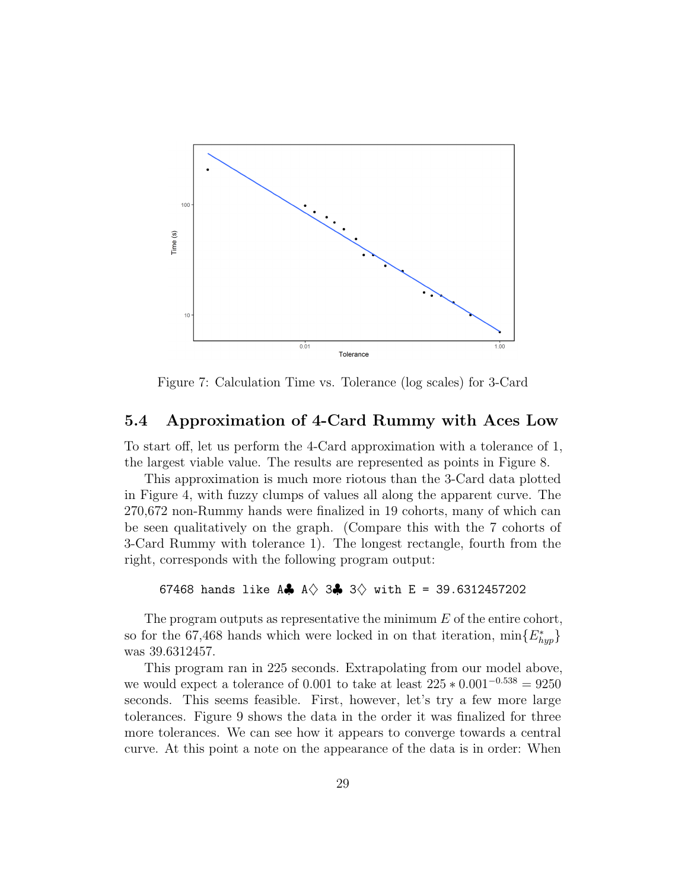

Figure 7: Calculation Time vs. Tolerance (log scales) for 3-Card

#### 5.4 Approximation of 4-Card Rummy with Aces Low

To start off, let us perform the 4-Card approximation with a tolerance of 1, the largest viable value. The results are represented as points in Figure 8.

This approximation is much more riotous than the 3-Card data plotted in Figure 4, with fuzzy clumps of values all along the apparent curve. The 270,672 non-Rummy hands were finalized in 19 cohorts, many of which can be seen qualitatively on the graph. (Compare this with the 7 cohorts of 3-Card Rummy with tolerance 1). The longest rectangle, fourth from the right, corresponds with the following program output:

67468 hands like A $\clubsuit$  A $\diamond$  3 $\clubsuit$  3 $\diamond$  with E = 39.6312457202

The program outputs as representative the minimum  $E$  of the entire cohort, so for the 67,468 hands which were locked in on that iteration,  $\min\{E^*_{hyp}\}$ was 39.6312457.

This program ran in 225 seconds. Extrapolating from our model above, we would expect a tolerance of 0.001 to take at least  $225 * 0.001^{-0.538} = 9250$ seconds. This seems feasible. First, however, let's try a few more large tolerances. Figure 9 shows the data in the order it was finalized for three more tolerances. We can see how it appears to converge towards a central curve. At this point a note on the appearance of the data is in order: When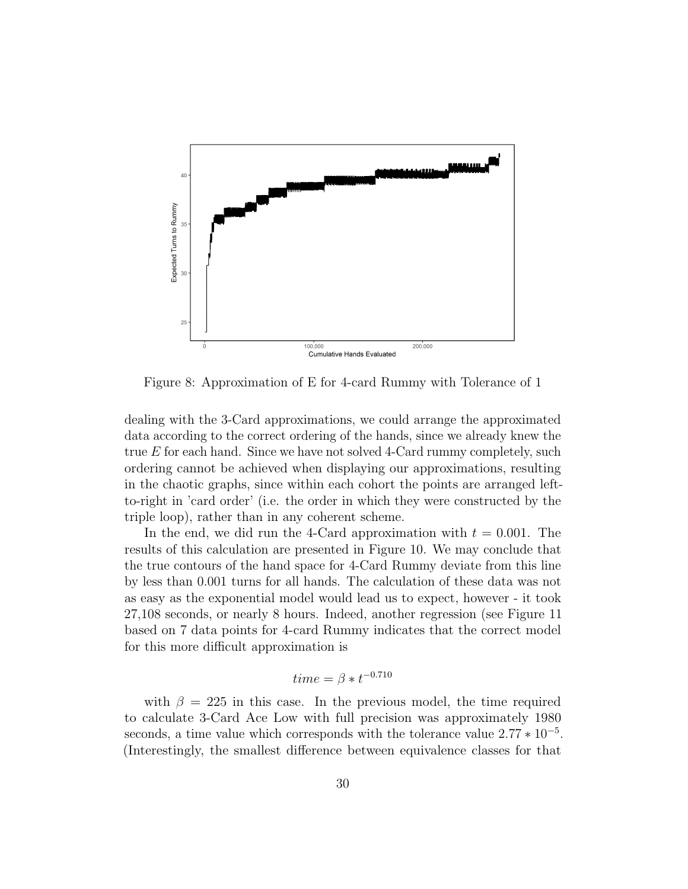

Figure 8: Approximation of E for 4-card Rummy with Tolerance of 1

dealing with the 3-Card approximations, we could arrange the approximated data according to the correct ordering of the hands, since we already knew the true  $E$  for each hand. Since we have not solved 4-Card rummy completely, such ordering cannot be achieved when displaying our approximations, resulting in the chaotic graphs, since within each cohort the points are arranged leftto-right in 'card order' (i.e. the order in which they were constructed by the triple loop), rather than in any coherent scheme.

In the end, we did run the 4-Card approximation with  $t = 0.001$ . The results of this calculation are presented in Figure 10. We may conclude that the true contours of the hand space for 4-Card Rummy deviate from this line by less than 0.001 turns for all hands. The calculation of these data was not as easy as the exponential model would lead us to expect, however - it took 27,108 seconds, or nearly 8 hours. Indeed, another regression (see Figure 11 based on 7 data points for 4-card Rummy indicates that the correct model for this more difficult approximation is

$$
time = \beta * t^{-0.710}
$$

with  $\beta = 225$  in this case. In the previous model, the time required to calculate 3-Card Ace Low with full precision was approximately 1980 seconds, a time value which corresponds with the tolerance value  $2.77 * 10^{-5}$ . (Interestingly, the smallest difference between equivalence classes for that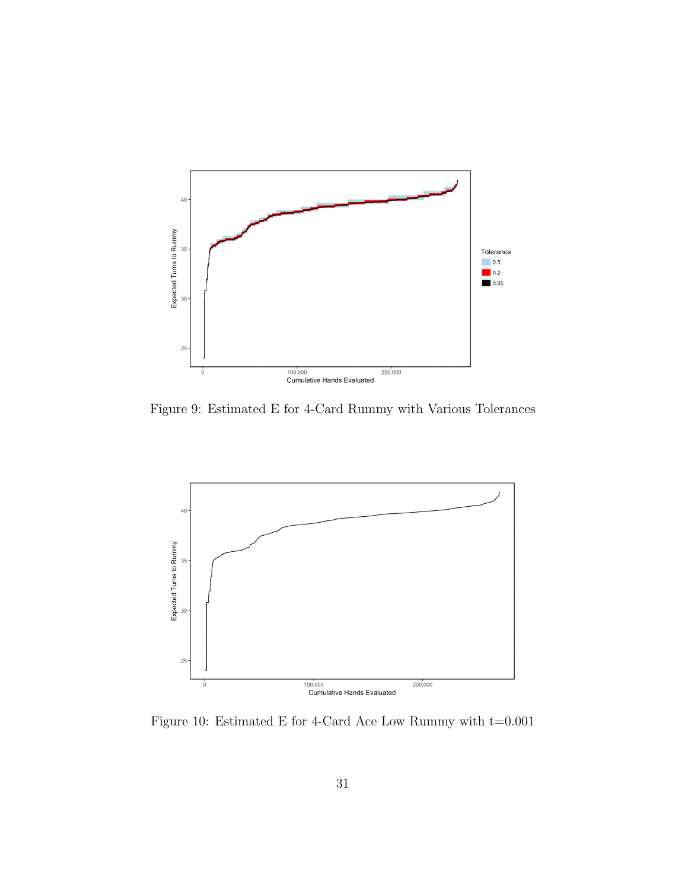

Figure 9: Estimated E for 4-Card Rummy with Various Tolerances



Figure 10: Estimated E for 4-Card Ace Low Rummy with  $t=0.001$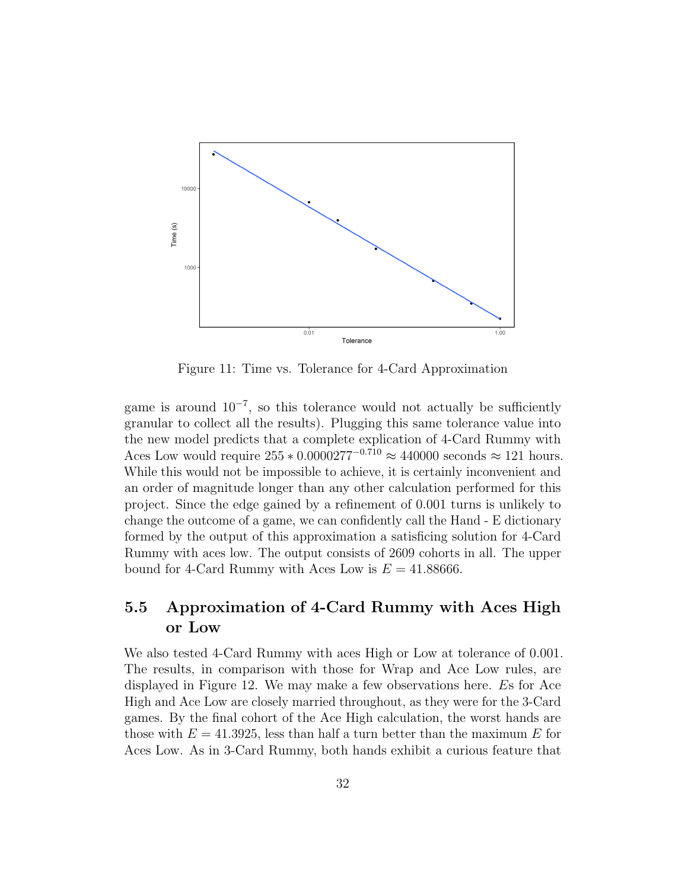

Figure 11: Time vs. Tolerance for 4-Card Approximation

game is around  $10^{-7}$ , so this tolerance would not actually be sufficiently granular to collect all the results). Plugging this same tolerance value into the new model predicts that a complete explication of 4-Card Rummy with Aces Low would require  $255 * 0.0000277^{-0.710} \approx 440000$  seconds  $\approx 121$  hours. While this would not be impossible to achieve, it is certainly inconvenient and an order of magnitude longer than any other calculation performed for this project. Since the edge gained by a refinement of 0.001 turns is unlikely to change the outcome of a game, we can confidently call the Hand - E dictionary formed by the output of this approximation a satisficing solution for 4-Card Rummy with aces low. The output consists of 2609 cohorts in all. The upper bound for 4-Card Rummy with Aces Low is  $E = 41.88666$ .

## 5.5 Approximation of 4-Card Rummy with Aces High or Low

We also tested 4-Card Rummy with aces High or Low at tolerance of 0.001. The results, in comparison with those for Wrap and Ace Low rules, are displayed in Figure 12. We may make a few observations here. Es for Ace High and Ace Low are closely married throughout, as they were for the 3-Card games. By the final cohort of the Ace High calculation, the worst hands are those with  $E = 41.3925$ , less than half a turn better than the maximum E for Aces Low. As in 3-Card Rummy, both hands exhibit a curious feature that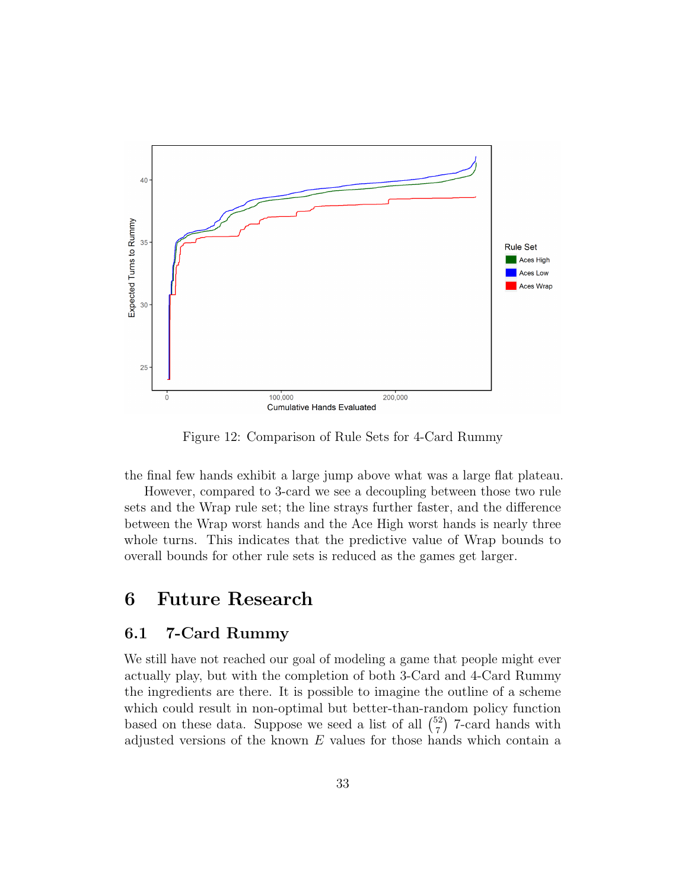

Figure 12: Comparison of Rule Sets for 4-Card Rummy

the final few hands exhibit a large jump above what was a large flat plateau.

However, compared to 3-card we see a decoupling between those two rule sets and the Wrap rule set; the line strays further faster, and the difference between the Wrap worst hands and the Ace High worst hands is nearly three whole turns. This indicates that the predictive value of Wrap bounds to overall bounds for other rule sets is reduced as the games get larger.

# 6 Future Research

### 6.1 7-Card Rummy

We still have not reached our goal of modeling a game that people might ever actually play, but with the completion of both 3-Card and 4-Card Rummy the ingredients are there. It is possible to imagine the outline of a scheme which could result in non-optimal but better-than-random policy function based on these data. Suppose we seed a list of all  $\binom{52}{7}$  $^{52}_{7}$ ) 7-card hands with adjusted versions of the known  $E$  values for those hands which contain a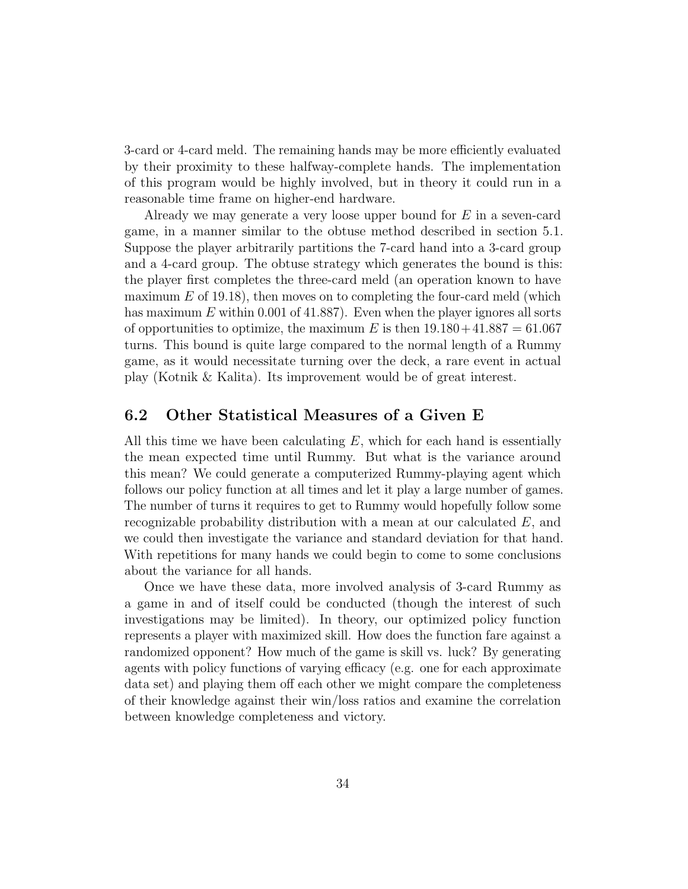3-card or 4-card meld. The remaining hands may be more efficiently evaluated by their proximity to these halfway-complete hands. The implementation of this program would be highly involved, but in theory it could run in a reasonable time frame on higher-end hardware.

Already we may generate a very loose upper bound for E in a seven-card game, in a manner similar to the obtuse method described in section 5.1. Suppose the player arbitrarily partitions the 7-card hand into a 3-card group and a 4-card group. The obtuse strategy which generates the bound is this: the player first completes the three-card meld (an operation known to have maximum  $E$  of 19.18), then moves on to completing the four-card meld (which has maximum E within 0.001 of 41.887). Even when the player ignores all sorts of opportunities to optimize, the maximum E is then  $19.180 + 41.887 = 61.067$ turns. This bound is quite large compared to the normal length of a Rummy game, as it would necessitate turning over the deck, a rare event in actual play (Kotnik & Kalita). Its improvement would be of great interest.

#### 6.2 Other Statistical Measures of a Given E

All this time we have been calculating  $E$ , which for each hand is essentially the mean expected time until Rummy. But what is the variance around this mean? We could generate a computerized Rummy-playing agent which follows our policy function at all times and let it play a large number of games. The number of turns it requires to get to Rummy would hopefully follow some recognizable probability distribution with a mean at our calculated  $E$ , and we could then investigate the variance and standard deviation for that hand. With repetitions for many hands we could begin to come to some conclusions about the variance for all hands.

Once we have these data, more involved analysis of 3-card Rummy as a game in and of itself could be conducted (though the interest of such investigations may be limited). In theory, our optimized policy function represents a player with maximized skill. How does the function fare against a randomized opponent? How much of the game is skill vs. luck? By generating agents with policy functions of varying efficacy (e.g. one for each approximate data set) and playing them off each other we might compare the completeness of their knowledge against their win/loss ratios and examine the correlation between knowledge completeness and victory.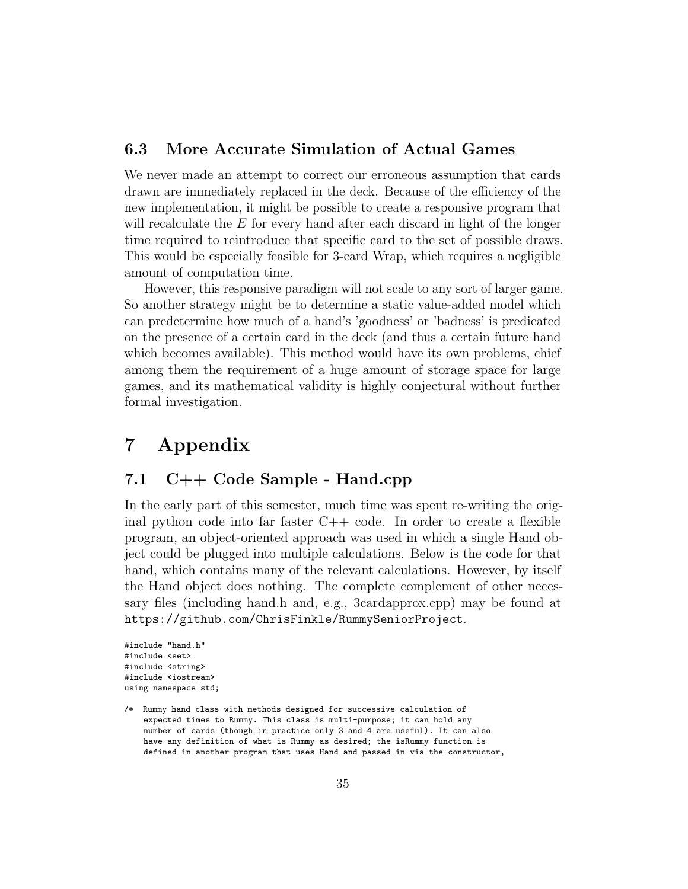#### 6.3 More Accurate Simulation of Actual Games

We never made an attempt to correct our erroneous assumption that cards drawn are immediately replaced in the deck. Because of the efficiency of the new implementation, it might be possible to create a responsive program that will recalculate the E for every hand after each discard in light of the longer time required to reintroduce that specific card to the set of possible draws. This would be especially feasible for 3-card Wrap, which requires a negligible amount of computation time.

However, this responsive paradigm will not scale to any sort of larger game. So another strategy might be to determine a static value-added model which can predetermine how much of a hand's 'goodness' or 'badness' is predicated on the presence of a certain card in the deck (and thus a certain future hand which becomes available). This method would have its own problems, chief among them the requirement of a huge amount of storage space for large games, and its mathematical validity is highly conjectural without further formal investigation.

# 7 Appendix

#### 7.1 C++ Code Sample - Hand.cpp

In the early part of this semester, much time was spent re-writing the original python code into far faster C++ code. In order to create a flexible program, an object-oriented approach was used in which a single Hand object could be plugged into multiple calculations. Below is the code for that hand, which contains many of the relevant calculations. However, by itself the Hand object does nothing. The complete complement of other necessary files (including hand.h and, e.g., 3cardapprox.cpp) may be found at https://github.com/ChrisFinkle/RummySeniorProject.

```
#include "hand.h"
#include <set>
#include <string>
#include <iostream>
using namespace std;
```
<sup>/\*</sup> Rummy hand class with methods designed for successive calculation of expected times to Rummy. This class is multi-purpose; it can hold any number of cards (though in practice only 3 and 4 are useful). It can also have any definition of what is Rummy as desired; the isRummy function is defined in another program that uses Hand and passed in via the constructor,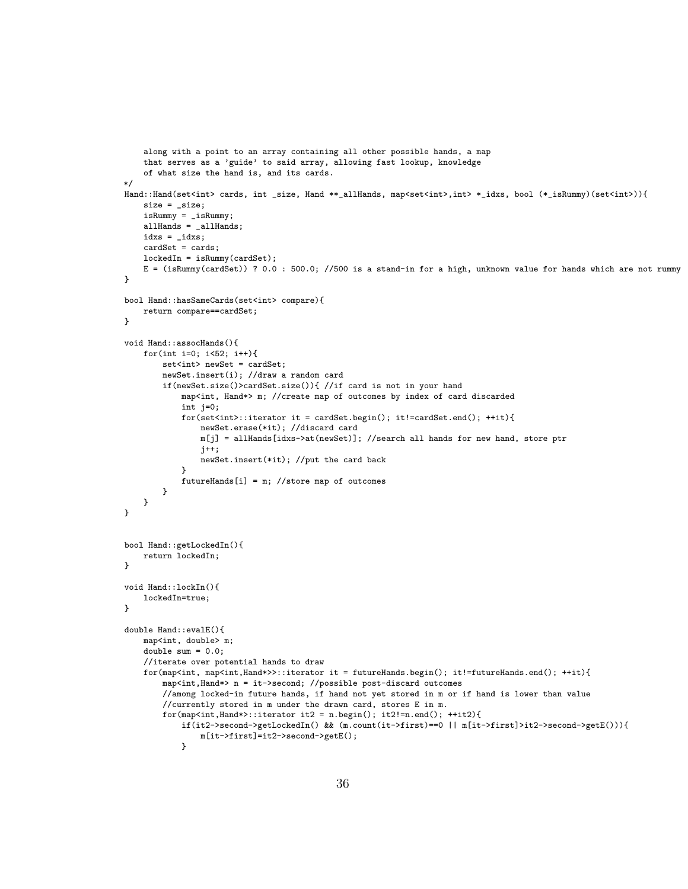```
along with a point to an array containing all other possible hands, a map
    that serves as a 'guide' to said array, allowing fast lookup, knowledge
    of what size the hand is, and its cards.
*/
Hand::Hand(set<int> cards, int _size, Hand **_allHands, map<set<int>,int> *_idxs, bool (*_isRummy)(set<int>)){
   size = _size;
    isRummy = _isRummy;
   allHands = _allHands;
    idxs = _idxs;
    cardSet = cards;
   lockedIn = isRummy(cardSet);
   E = (isRummy(cardSet)) ? 0.0 : 500.0; //500 is a stand-in for a high, unknown value for hands which are not rummy
}
bool Hand::hasSameCards(set<int> compare){
   return compare==cardSet;
}
void Hand::assocHands(){
   for(int i=0; i < 52; i + 1}
        set<int> newSet = cardSet;
        newSet.insert(i); //draw a random card
        if(newSet.size()>cardSet.size()){ //if card is not in your hand
            map<int, Hand*> m; //create map of outcomes by index of card discarded
            int j=0;
            for(set<int>::iterator it = cardSet.begin(); it!=cardSet.end(); ++it){
                newSet.erase(*it); //discard card
                m[j] = allHands[idxs->at(newSet)]; //search all hands for new hand, store ptr
                j++;
                newSet.insert(*it); //put the card back
            }
            futureHands[i] = m; //store map of outcomes
        }
   }
}
bool Hand::getLockedIn(){
   return lockedIn;
}
void Hand::lockIn(){
    lockedIn=true;
}
double Hand::evalE(){
   map<int, double> m;
    double sum = 0.0;
    //iterate over potential hands to draw
    for(map<int, map<int,Hand*>>::iterator it = futureHands.begin(); it!=futureHands.end(); ++it){
        map<int,Hand*> n = it->second; //possible post-discard outcomes
        //among locked-in future hands, if hand not yet stored in m or if hand is lower than value
        //currently stored in m under the drawn card, stores E in m.
        for (map<int, Hand*)::iterator it2 = n.begin(); it2!=n.end(); ++it2){
            if(it2->second->getLockedIn() && (m.count(it->first)==0 || m[it->first]>it2->second->getE())){
                m[it->first]=it2->second->getE();
            }
```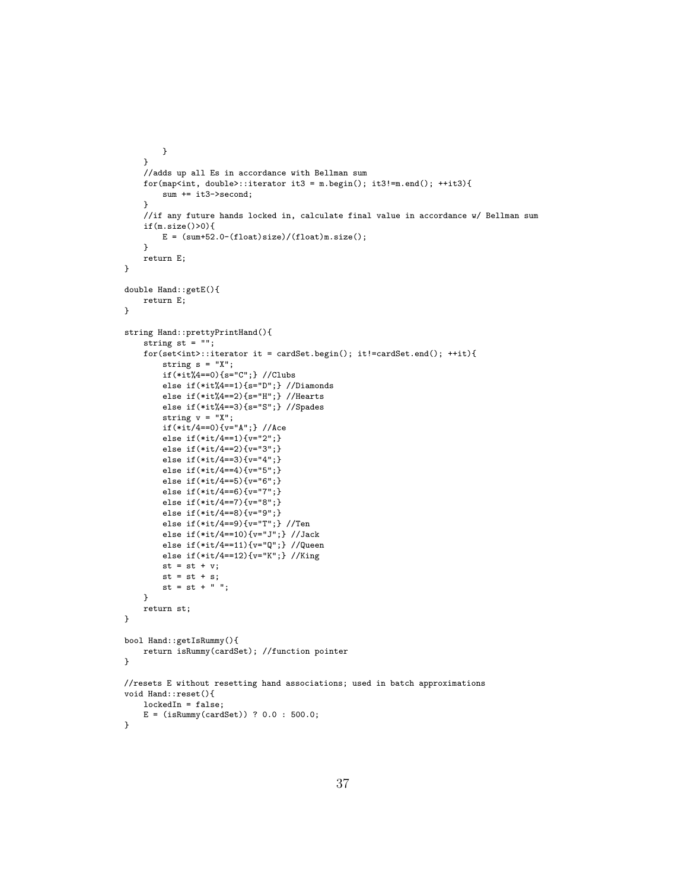```
}
   }
    //adds up all Es in accordance with Bellman sum
   for (map<int, double>)::iterator it3 = m.begin(); it3!=m.end(); ++it3){
        sum += it3->second;
    }
    //if any future hands locked in, calculate final value in accordance w/ Bellman sum
   if(m.size()>0){
        E = (sum+52.0-(float)size)/(float)m.size();}
   return E;
}
double Hand::getE(){
   return E;
}
string Hand::prettyPrintHand(){
    string st = "";
   for(set<int>::iterator it = cardSet.begin(); it!=cardSet.end(); ++it){
        string s = "X";if(*it%4==0){s="C";} //Clubs
        else if(*it%4==1){s="D";} //Diamonds
        else if(*it%4==2){s="H";} //Hearts
        else if(*it%4==3){s="S";} //Spades
        string v = "X";if(*it/4==0){v="A";} //Ace
        else if(*it/4==1){v="2";}
        else if(*it/4==2){v="3";}
        else if(*it/4==3){v="4";}
        else if(*it/4==4){v="5";}
        else if(*it/4==5){v="6";}
        else if(*it/4==6){v="7";}
        else if(*it/4==7){v="8";}
        else if(*it/4==8){v="9";}
        else if(*it/4==9){v="T";} //Ten
        else if(*it/4==10){v="J";} //Jack
        else if(*it/4==11){v="Q";} //Queen
        else if(*it/4==12){v="K";} //King
       st = st + v;st = st + s;st = st + " "}
   return st;
}
bool Hand::getIsRummy(){
   return isRummy(cardSet); //function pointer
}
//resets E without resetting hand associations; used in batch approximations
void Hand::reset(){
   lockedIn = false;
    E = (isRummy(cardSet)) ? 0.0 : 500.0;
}
```

```
37
```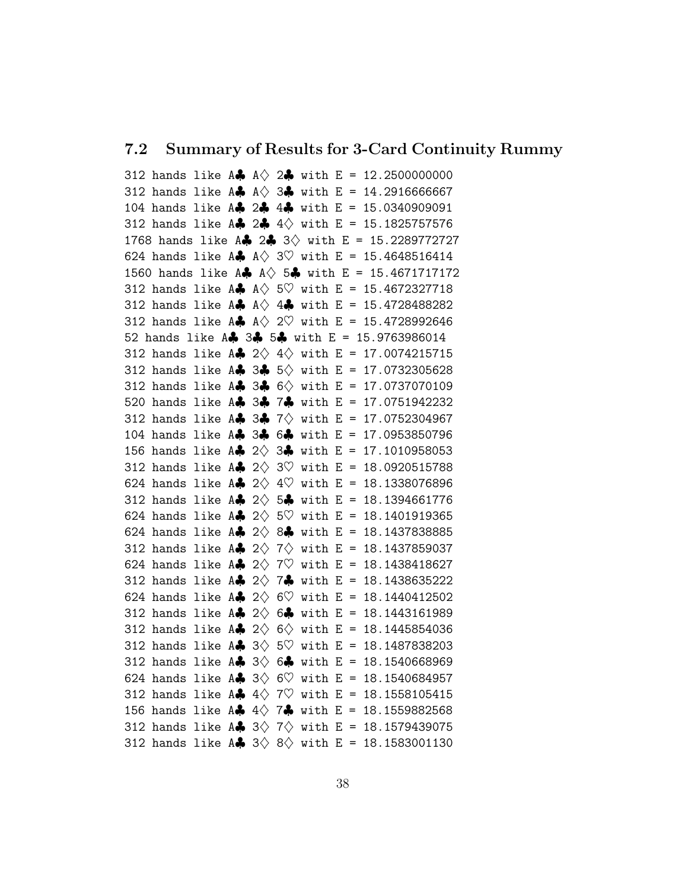#### 7.2 Summary of Results for 3-Card Continuity Rummy

312 hands like A $\clubsuit$  A $\lozenge$  2 $\clubsuit$  with E = 12.2500000000 312 hands like A $\clubsuit$  A $\lozenge$  3 $\clubsuit$  with E = 14.2916666667 104 hands like A♣ 2♣ 4♣ with E = 15.0340909091 312 hands like A. 2.  $4\Diamond$  with E = 15.1825757576 1768 hands like A $\clubsuit$  2 $\clubsuit$  3 $\lozenge$  with E = 15.2289772727 624 hands like A $\clubsuit$  A $\lozenge$  3 $\heartsuit$  with E = 15.4648516414 1560 hands like A $\clubsuit$  A $\diamond$  5 $\clubsuit$  with E = 15.4671717172 312 hands like  $A\clubsuit$   $A\diamondsuit$  5 $\heartsuit$  with E = 15.4672327718 312 hands like  $A \rightarrow A' + B$  with E = 15.4728488282 312 hands like A $\clubsuit$  A $\lozenge$  2 $\heartsuit$  with E = 15.4728992646 52 hands like A♣ 3♣ 5♣ with E = 15.9763986014 312 hands like A $\clubsuit$  2 $\diamondsuit$  4 $\diamondsuit$  with E = 17.0074215715 312 hands like A. 3. 5  $\Diamond$  with E = 17.0732305628 312 hands like A $\clubsuit$  3 $\clubsuit$  6 $\diamond$  with E = 17.0737070109 520 hands like A♣ 3♣ 7♣ with E = 17.0751942232 312 hands like A $\clubsuit$  3 $\clubsuit$  7 $\lozenge$  with E = 17.0752304967 104 hands like A♣ 3♣ 6♣ with E = 17.0953850796 156 hands like A $\clubsuit$  2 $\lozenge$  3 $\clubsuit$  with E = 17.1010958053 312 hands like A $\clubsuit$  2 $\lozenge$  3 $\heartsuit$  with E = 18.0920515788 624 hands like A $\clubsuit$  2 $\lozenge$  4 $\heartsuit$  with E = 18.1338076896 312 hands like A $\clubsuit$  2 $\diamond$  5 $\clubsuit$  with E = 18.1394661776 624 hands like A $\clubsuit$  2 $\diamondsuit$  5 $\heartsuit$  with E = 18.1401919365 624 hands like A $\clubsuit$  2 $\diamond$  8 $\clubsuit$  with E = 18.1437838885 312 hands like A $\clubsuit$  2 $\lozenge$  7 $\lozenge$  with E = 18.1437859037 624 hands like A $\clubsuit$  2 $\lozenge$  7 $\heartsuit$  with E = 18.1438418627 312 hands like  $A$  2  $\Diamond$  7. with E = 18.1438635222 624 hands like A $\clubsuit$  2 $\diamondsuit$  6 $\heartsuit$  with E = 18.1440412502 312 hands like  $A$  2 $\diamondsuit$  6. with E = 18.1443161989 312 hands like A $\clubsuit$  2 $\diamondsuit$  6 $\diamondsuit$  with E = 18.1445854036 312 hands like A $\clubsuit$  3 $\lozenge$  5 $\heartsuit$  with E = 18.1487838203 312 hands like A $\clubsuit$  3 $\diamondsuit$  6 $\clubsuit$  with E = 18.1540668969 624 hands like A $\clubsuit$  3 $\diamondsuit$  6 $\heartsuit$  with E = 18.1540684957 312 hands like A $\clubsuit$  4 $\lozenge$  7 $\heartsuit$  with E = 18.1558105415 156 hands like A $\clubsuit$  4 $\lozenge$  7 $\clubsuit$  with E = 18.1559882568 312 hands like A $\clubsuit$  3 $\lozenge$  7 $\lozenge$  with E = 18.1579439075 312 hands like A $\clubsuit$  3 $\diamond$  8 $\diamond$  with E = 18.1583001130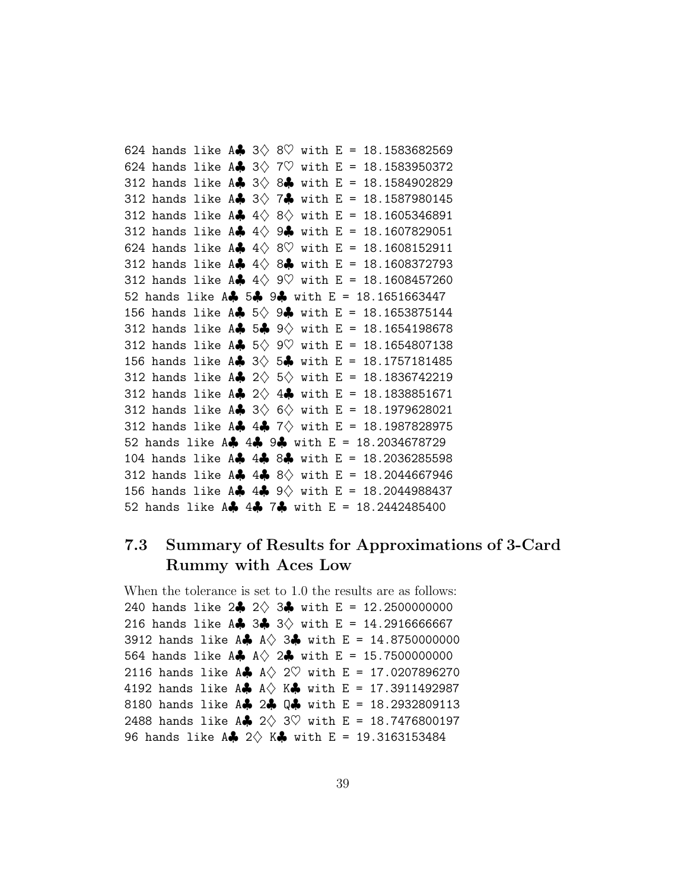624 hands like A $\clubsuit$  3 $\lozenge$  8 $\heartsuit$  with E = 18.1583682569 624 hands like A $\clubsuit$  3 $\lozenge$  7 $\heartsuit$  with E = 18.1583950372 312 hands like  $A$  3 $\Diamond$  8. with E = 18.1584902829 312 hands like A $\clubsuit$  3 $\lozenge$  7 $\clubsuit$  with E = 18.1587980145 312 hands like A $\clubsuit$  4 $\lozenge$  8 $\lozenge$  with E = 18.1605346891 312 hands like  $A\clubsuit 4\diamondsuit 9\clubsuit$  with E = 18.1607829051 624 hands like A $\clubsuit$  4 $\lozenge$  8 $\heartsuit$  with E = 18.1608152911 312 hands like  $A\clubsuit 4\diamondsuit 8\clubsuit$  with E = 18.1608372793 312 hands like A $\clubsuit$  4 $\lozenge$  9 $\heartsuit$  with E = 18.1608457260 52 hands like A♣ 5♣ 9♣ with E = 18.1651663447 156 hands like A $\clubsuit$  5 $\lozenge$  9 $\clubsuit$  with E = 18.1653875144 312 hands like  $A$  5.  $9\sqrt{ }$  with E = 18.1654198678 312 hands like A $\clubsuit$  5 $\lozenge$  9 $\heartsuit$  with E = 18.1654807138 156 hands like A $\clubsuit$  3 $\lozenge$  5 $\clubsuit$  with E = 18.1757181485 312 hands like A $\clubsuit$  2 $\diamond$  5 $\diamond$  with E = 18.1836742219 312 hands like A $\clubsuit$  2 $\lozenge$  4 $\clubsuit$  with E = 18.1838851671 312 hands like A $\clubsuit$  3 $\diamondsuit$  6 $\diamondsuit$  with E = 18.1979628021 312 hands like A\$ 4\$ 7 $\diamond$  with E = 18.1987828975 52 hands like A♣ 4♣ 9♣ with E = 18.2034678729 104 hands like A♣ 4♣ 8♣ with E = 18.2036285598 312 hands like A $\clubsuit$  4 $\clubsuit$  8 $\diamond$  with E = 18.2044667946 156 hands like A $\clubsuit$  4 $\clubsuit$  9 $\diamond$  with E = 18.2044988437 52 hands like A♣ 4♣ 7♣ with E = 18.2442485400

## 7.3 Summary of Results for Approximations of 3-Card Rummy with Aces Low

When the tolerance is set to 1.0 the results are as follows: 240 hands like  $2\clubsuit$  2 $\lozenge$  3 $\clubsuit$  with E = 12.2500000000 216 hands like A. 3. 3. with E = 14.2916666667 3912 hands like A $\clubsuit$  A $\diamond$  3 $\clubsuit$  with E = 14.8750000000 564 hands like A $\clubsuit$  A $\lozenge$  2 $\clubsuit$  with E = 15.7500000000 2116 hands like A $\clubsuit$  A $\lozenge$  2 $\heartsuit$  with E = 17.0207896270 4192 hands like A $\clubsuit$  A $\diamond$  K $\clubsuit$  with E = 17.3911492987 8180 hands like A. 2. Q. with E = 18.2932809113 2488 hands like A $\clubsuit$  2 $\diamondsuit$  3 $\heartsuit$  with E = 18.7476800197 96 hands like  $A$   $2 \Diamond K$   $\phi$  with  $E = 19.3163153484$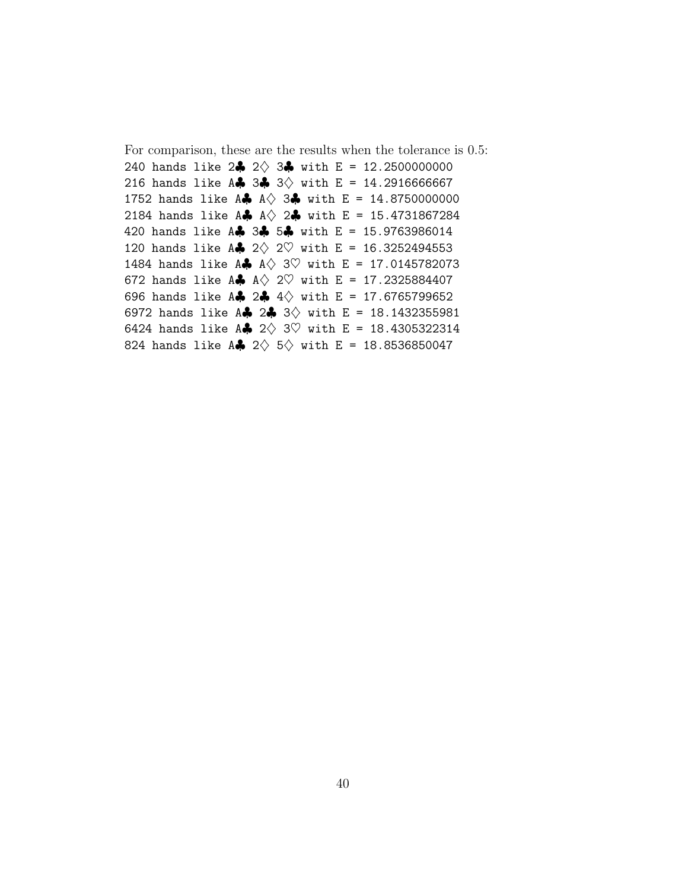For comparison, these are the results when the tolerance is 0.5: 240 hands like  $2\clubsuit 2\diamond 3\clubsuit$  with E = 12.2500000000 216 hands like A. 3. 3. with E = 14.2916666667 1752 hands like A $\clubsuit$  A $\diamond$  3 $\clubsuit$  with E = 14.8750000000 2184 hands like A $\clubsuit$  A $\lozenge$  2 $\clubsuit$  with E = 15.4731867284 420 hands like A♣ 3♣ 5♣ with E = 15.9763986014 120 hands like A $\clubsuit$  2 $\lozenge$  2 $\heartsuit$  with E = 16.3252494553 1484 hands like A $\clubsuit$  A $\lozenge$  3 $\heartsuit$  with E = 17.0145782073 672 hands like A $\clubsuit$  A $\lozenge$  2 $\heartsuit$  with E = 17.2325884407 696 hands like A\$ 2\$ 4 $\diamond$  with E = 17.6765799652 6972 hands like A $\clubsuit$  2 $\clubsuit$  3 $\diamond$  with E = 18.1432355981 6424 hands like A $\clubsuit$  2 $\lozenge$  3 $\heartsuit$  with E = 18.4305322314 824 hands like A $\clubsuit$  2 $\diamondsuit$  5 $\diamondsuit$  with E = 18.8536850047